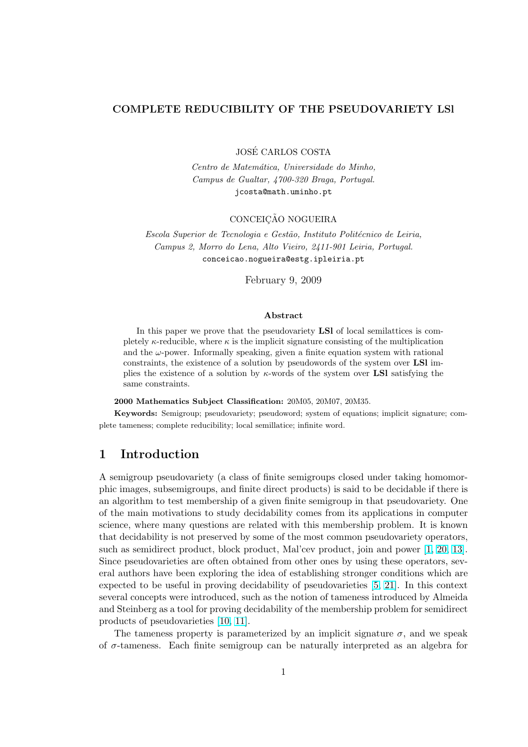# COMPLETE REDUCIBILITY OF THE PSEUDOVARIETY LSl

JOSE CARLOS COSTA ´

Centro de Matemática, Universidade do Minho, Campus de Gualtar, 4700-320 Braga, Portugal. jcosta@math.uminho.pt

### CONCEICÃO NOGUEIRA

Escola Superior de Tecnologia e Gestão, Instituto Politécnico de Leiria, Campus 2, Morro do Lena, Alto Vieiro, 2411-901 Leiria, Portugal. conceicao.nogueira@estg.ipleiria.pt

February 9, 2009

#### Abstract

In this paper we prove that the pseudovariety **LSI** of local semilattices is completely  $\kappa$ -reducible, where  $\kappa$  is the implicit signature consisting of the multiplication and the  $\omega$ -power. Informally speaking, given a finite equation system with rational constraints, the existence of a solution by pseudowords of the system over LSl implies the existence of a solution by  $\kappa$ -words of the system over **LSI** satisfying the same constraints.

2000 Mathematics Subject Classification: 20M05, 20M07, 20M35.

Keywords: Semigroup; pseudovariety; pseudoword; system of equations; implicit signature; complete tameness; complete reducibility; local semillatice; infinite word.

# 1 Introduction

A semigroup pseudovariety (a class of finite semigroups closed under taking homomorphic images, subsemigroups, and finite direct products) is said to be decidable if there is an algorithm to test membership of a given finite semigroup in that pseudovariety. One of the main motivations to study decidability comes from its applications in computer science, where many questions are related with this membership problem. It is known that decidability is not preserved by some of the most common pseudovariety operators, such as semidirect product, block product, Mal'cev product, join and power [1, 20, 13]. Since pseudovarieties are often obtained from other ones by using these operators, several authors have been exploring the idea of establishing stronger conditions which are expected to be useful in proving decidability of pseudovarieties [5, 21]. In this context several concepts were introduced, such as the notion of tameness introduced b[y](#page-31-0) [Alm](#page-32-0)[eida](#page-31-0) and Steinberg as a tool for proving decidability of the membership problem for semidirect products of pseudovarieties [10, 11].

The tameness property is parameterized by an implicit sign[at](#page-31-0)[ure](#page-32-0)  $\sigma$ , and we speak of  $\sigma$ -tameness. Each finite semigroup can be naturally interpreted as an algebra for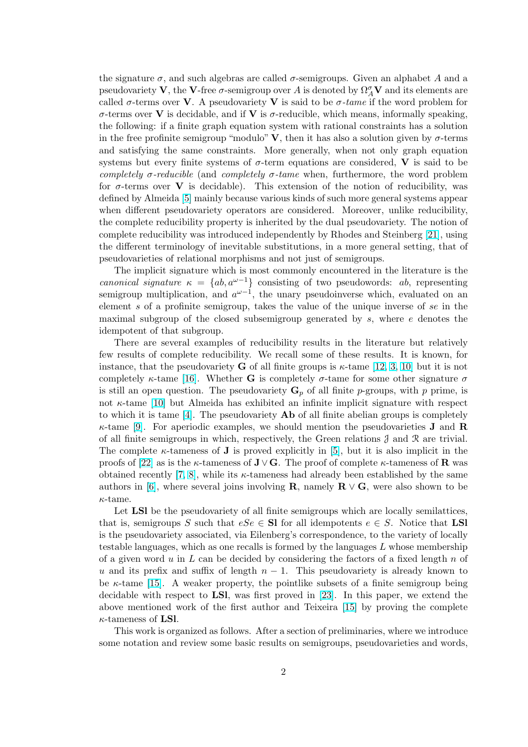the signature  $\sigma$ , and such algebras are called  $\sigma$ -semigroups. Given an alphabet A and a pseudovariety  $V$ , the V-free  $\sigma$ -semigroup over A is denoted by  $\Omega_A^{\sigma} V$  and its elements are called  $\sigma$ -terms over V. A pseudovariety V is said to be  $\sigma$ -tame if the word problem for σ-terms over V is decidable, and if V is σ-reducible, which means, informally speaking, the following: if a finite graph equation system with rational constraints has a solution in the free profinite semigroup "modulo"  $V$ , then it has also a solution given by  $\sigma$ -terms and satisfying the same constraints. More generally, when not only graph equation systems but every finite systems of  $\sigma$ -term equations are considered, V is said to be completely  $\sigma$ -reducible (and completely  $\sigma$ -tame when, furthermore, the word problem for  $\sigma$ -terms over **V** is decidable). This extension of the notion of reducibility, was defined by Almeida [5] mainly because various kinds of such more general systems appear when different pseudovariety operators are considered. Moreover, unlike reducibility, the complete reducibility property is inherited by the dual pseudovariety. The notion of complete reducibility was introduced independently by Rhodes and Steinberg [21], using the different termin[ol](#page-31-0)ogy of inevitable substitutions, in a more general setting, that of pseudovarieties of relational morphisms and not just of semigroups.

The implicit signature which is most commonly encountered in the literature is the canonical signature  $\kappa = \{ab, a^{\omega-1}\}\$ consisting of two pseudowords: ab, re[pres](#page-32-0)enting semigroup multiplication, and  $a^{\omega-1}$ , the unary pseudoinverse which, evaluated on an element s of a profinite semigroup, takes the value of the unique inverse of se in the maximal subgroup of the closed subsemigroup generated by  $s$ , where  $e$  denotes the idempotent of that subgroup.

There are several examples of reducibility results in the literature but relatively few results of complete reducibility. We recall some of these results. It is known, for instance, that the pseudovariety **G** of all finite groups is  $\kappa$ -tame [12, 3, 10] but it is not completely  $\kappa$ -tame [16]. Whether **G** is completely  $\sigma$ -tame for some other signature  $\sigma$ is still an open question. The pseudovariety  $\mathbf{G}_p$  of all finite p-groups, with p prime, is not  $\kappa$ -tame [10] but Almeida has exhibited an infinite implicit signature with respect to which it is tame  $[4]$ . The pseudovariety  $\bf{Ab}$  of all finite abelia[n groups](#page-31-0) is completely  $\kappa$ -tame [9]. For ap[erio](#page-31-0)dic examples, we should mention the pseudovarieties **J** and **R** of all finite semigroups in which, respectively, the Green relations  $\mathcal J$  and  $\mathcal R$  are trivial. The comple[te](#page-31-0)  $\kappa$ -tameness of **J** is proved explicitly in [5], but it is also implicit in the proofs of [22] as is t[he](#page-31-0)  $\kappa$ -tameness of **J** $\vee$ **G**. The proof of complete  $\kappa$ -tameness of **R** was obtaine[d r](#page-31-0)ecently [7, 8], while its  $\kappa$ -tameness had already been established by the same authors in [6], where several joins involving **R**, namel[y](#page-31-0)  $\mathbf{R} \vee \mathbf{G}$ , were also shown to be  $\kappa$ -tame.

Let LSI be the pseudovariety of all finite semigroups which are locally semilattices, that i[s](#page-31-0), semigroups [S](#page-31-0) such that  $eSe \in \mathbf{SI}$  for all idempotents  $e \in S$ . Notice that **LSI** is the pseu[dov](#page-31-0)ariety associated, via Eilenberg's correspondence, to the variety of locally testable languages, which as one recalls is formed by the languages  $L$  whose membership of a given word u in L can be decided by considering the factors of a fixed length n of u and its prefix and suffix of length  $n - 1$ . This pseudovariety is already known to be  $\kappa$ -tame [15]. A weaker property, the pointlike subsets of a finite semigroup being decidable with respect to LSl, was first proved in [23]. In this paper, we extend the above mentioned work of the first author and Teixeira [15] by proving the complete  $\kappa$ -tameness of LSl.

This wo[rk is](#page-31-0) organized as follows. After a section of preliminaries, where we introduce some notation and review some basic results on sem[igro](#page-32-0)u[ps, p](#page-31-0)seudovarieties and words,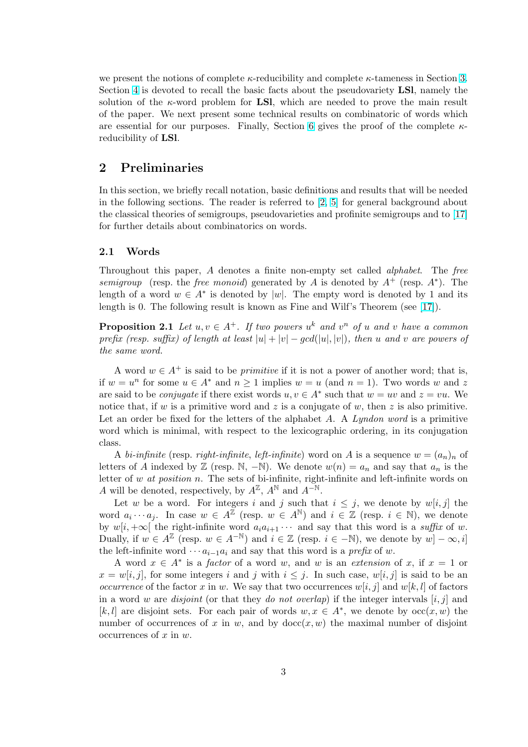we present the notions of complete  $\kappa$ -reducibility and complete  $\kappa$ -tameness in Section 3. Section 4 is devoted to recall the basic facts about the pseudovariety LSl, namely the solution of the  $\kappa$ -word problem for **LSI**, which are needed to prove the main result of the paper. We next present some technical results on combinatoric of words which are essential for our purposes. Finally, Section 6 gives the proof of the complete  $\kappa$ reducib[ilit](#page-6-0)y of LSl.

# 2 Preliminaries

In this section, we briefly recall notation, basic definitions and results that will be needed in the following sections. The reader is referred to [2, 5] for general background about the classical theories of semigroups, pseudovarieties and profinite semigroups and to [17] for further details about combinatorics on words.

### 2.1 Words

Throughout this paper, A denotes a finite non-empty set called alphabet. The free semigroup (resp. the free monoid) generated by A is denoted by  $A^+$  (resp.  $A^*$ ). The length of a word  $w \in A^*$  is denoted by |w|. The empty word is denoted by 1 and its length is 0. The following result is known as Fine and Wilf's Theorem (see [17]).

**Proposition 2.1** Let  $u, v \in A^+$ . If two powers  $u^k$  and  $v^n$  of u and v have a common prefix (resp. suffix) of length at least  $|u| + |v| - \gcd(|u|, |v|)$ , then u and v are powers of the same word.

A word  $w \in A^+$  is said to be *primitive* if it is not a power of another word; that is, if  $w = u^n$  for some  $u \in A^*$  and  $n \ge 1$  implies  $w = u$  (and  $n = 1$ ). Two words w and z are said to be *conjugate* if there exist words  $u, v \in A^*$  such that  $w = uv$  and  $z = vu$ . We notice that, if w is a primitive word and z is a conjugate of w, then z is also primitive. Let an order be fixed for the letters of the alphabet  $A$ . A Lyndon word is a primitive word which is minimal, with respect to the lexicographic ordering, in its conjugation class.

A bi-infinite (resp. right-infinite, left-infinite) word on A is a sequence  $w = (a_n)_n$  of letters of A indexed by  $\mathbb{Z}$  (resp. N, -N). We denote  $w(n) = a_n$  and say that  $a_n$  is the letter of  $w$  at position  $n$ . The sets of bi-infinite, right-infinite and left-infinite words on A will be denoted, respectively, by  $A^{\mathbb{Z}}$ ,  $A^{\mathbb{N}}$  and  $A^{-\mathbb{N}}$ .

Let w be a word. For integers i and j such that  $i \leq j$ , we denote by  $w[i, j]$  the word  $a_i \cdots a_j$ . In case  $w \in A^{\mathbb{Z}}$  (resp.  $w \in A^{\mathbb{N}}$ ) and  $i \in \mathbb{Z}$  (resp.  $i \in \mathbb{N}$ ), we denote by  $w[i, +\infty]$  the right-infinite word  $a_i a_{i+1} \cdots$  and say that this word is a suffix of w. Dually, if  $w \in A^{\mathbb{Z}}$  (resp.  $w \in A^{-\mathbb{N}}$ ) and  $i \in \mathbb{Z}$  (resp.  $i \in -\mathbb{N}$ ), we denote by  $w - \infty$ , i the left-infinite word  $\cdots a_{i-1}a_i$  and say that this word is a prefix of w.

A word  $x \in A^*$  is a *factor* of a word w, and w is an *extension* of x, if  $x = 1$  or  $x = w[i, j]$ , for some integers i and j with  $i \leq j$ . In such case,  $w[i, j]$  is said to be an occurrence of the factor x in w. We say that two occurrences  $w[i, j]$  and  $w[k, l]$  of factors in a word w are *disjoint* (or that they *do not overlap*) if the integer intervals  $[i, j]$  and [k, l] are disjoint sets. For each pair of words  $w, x \in A^*$ , we denote by  $occ(x, w)$  the number of occurrences of x in w, and by  $\text{doc}(x, w)$  the maximal number of disjoint occurrences of  $x$  in  $w$ .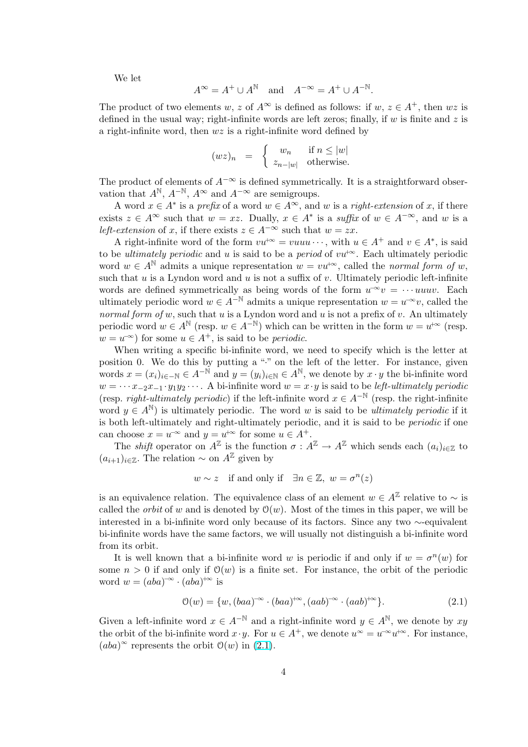We let

$$
A^{\infty} = A^{+} \cup A^{\mathbb{N}} \quad \text{and} \quad A^{-\infty} = A^{+} \cup A^{-\mathbb{N}}.
$$

The product of two elements w, z of  $A^{\infty}$  is defined as follows: if  $w, z \in A^{+}$ , then  $wz$  is defined in the usual way; right-infinite words are left zeros; finally, if  $w$  is finite and  $z$  is a right-infinite word, then  $wz$  is a right-infinite word defined by

$$
(wz)_n = \begin{cases} w_n & \text{if } n \le |w| \\ z_{n-|w|} & \text{otherwise.} \end{cases}
$$

The product of elements of  $A^{-\infty}$  is defined symmetrically. It is a straightforward observation that  $A^{\mathbb{N}}, A^{-\mathbb{N}}, A^{\infty}$  and  $A^{-\infty}$  are semigroups.

A word  $x \in A^*$  is a prefix of a word  $w \in A^{\infty}$ , and w is a right-extension of x, if there exists  $z \in A^{\infty}$  such that  $w = xz$ . Dually,  $x \in A^*$  is a suffix of  $w \in A^{-\infty}$ , and w is a left-extension of x, if there exists  $z \in A^{-\infty}$  such that  $w = zx$ .

A right-infinite word of the form  $vu^{+\infty} = vuuu \cdots$ , with  $u \in A^+$  and  $v \in A^*$ , is said to be *ultimately periodic* and u is said to be a *period* of  $vu^{+\infty}$ . Each ultimately periodic word  $w \in A^{\mathbb{N}}$  admits a unique representation  $w = v u^{+\infty}$ , called the normal form of w, such that  $u$  is a Lyndon word and  $u$  is not a suffix of  $v$ . Ultimately periodic left-infinite words are defined symmetrically as being words of the form  $u^{\infty}v = \cdots u u v$ . Each ultimately periodic word  $w \in A^{-\mathbb{N}}$  admits a unique representation  $w = u^{-\infty}v$ , called the normal form of w, such that  $u$  is a Lyndon word and  $u$  is not a prefix of  $v$ . An ultimately periodic word  $w \in A^{\mathbb{N}}$  (resp.  $w \in A^{-\mathbb{N}}$ ) which can be written in the form  $w = u^{+\infty}$  (resp.  $w = u^{-\infty}$  for some  $u \in A^+$ , is said to be *periodic*.

When writing a specific bi-infinite word, we need to specify which is the letter at position 0. We do this by putting a "·" on the left of the letter. For instance, given words  $x = (x_i)_{i \in -\mathbb{N}} \in A^{-\mathbb{N}}$  and  $y = (y_i)_{i \in \mathbb{N}} \in A^{\mathbb{N}}$ , we denote by  $x \cdot y$  the bi-infinite word  $w = \cdots x_{-2}x_{-1} \cdot y_1y_2 \cdots$ . A bi-infinite word  $w = x \cdot y$  is said to be left-ultimately periodic (resp. *right-ultimately periodic*) if the left-infinite word  $x \in A^{-N}$  (resp. the right-infinite word  $y \in A^{\mathbb{N}}$  is ultimately periodic. The word w is said to be *ultimately periodic* if it is both left-ultimately and right-ultimately periodic, and it is said to be periodic if one can choose  $x = u^{-\infty}$  and  $y = u^{+\infty}$  for some  $u \in A^+$ .

The *shift* operator on  $A^{\mathbb{Z}}$  is the function  $\sigma : A^{\mathbb{Z}} \to A^{\mathbb{Z}}$  which sends each  $(a_i)_{i \in \mathbb{Z}}$  to  $(a_{i+1})_{i\in\mathbb{Z}}$ . The relation  $\sim$  on  $A^{\mathbb{Z}}$  given by

$$
w \sim z
$$
 if and only if  $\exists n \in \mathbb{Z}, w = \sigma^n(z)$ 

is an equivalence relation. The equivalence class of an element  $w \in A^{\mathbb{Z}}$  relative to  $\sim$  is called the *orbit* of w and is denoted by  $\mathcal{O}(w)$ . Most of the times in this paper, we will be interested in a bi-infinite word only because of its factors. Since any two ∼-equivalent bi-infinite words have the same factors, we will usually not distinguish a bi-infinite word from its orbit.

It is well known that a bi-infinite word w is periodic if and only if  $w = \sigma^n(w)$  for some  $n > 0$  if and only if  $\mathcal{O}(w)$  is a finite set. For instance, the orbit of the periodic word  $w = (aba)^{-\infty} \cdot (aba)^{+\infty}$  is

$$
\mathcal{O}(w) = \{w, (baa)^{-\infty} \cdot (baa)^{+\infty}, (aab)^{-\infty} \cdot (aab)^{+\infty}\}.
$$
 (2.1)

Given a left-infinite word  $x \in A^{-\mathbb{N}}$  and a right-infinite word  $y \in A^{\mathbb{N}}$ , we denote by  $xy$ the orbit of the bi-infinite word  $x \cdot y$ . For  $u \in A^+$ , we denote  $u^{\infty} = u^{-\infty} u^{+\infty}$ . For instance,  $(aba)^{\infty}$  represents the orbit  $\mathcal{O}(w)$  in  $(2.1)$ .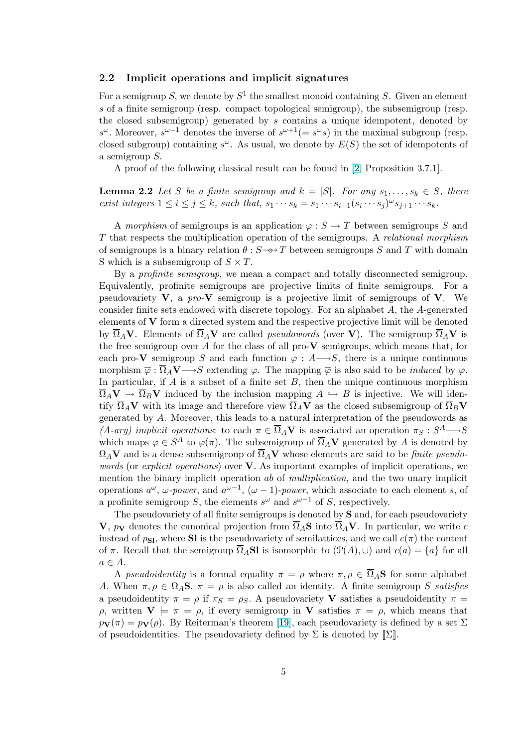## <span id="page-4-0"></span>2.2 Implicit operations and implicit signatures

For a semigroup S, we denote by  $S^1$  the smallest monoid containing S. Given an element s of a finite semigroup (resp. compact topological semigroup), the subsemigroup (resp. the closed subsemigroup) generated by s contains a unique idempotent, denoted by  $s^{\omega}$ . Moreover,  $s^{\omega-1}$  denotes the inverse of  $s^{\omega+1}(=s^{\omega}s)$  in the maximal subgroup (resp. closed subgroup) containing  $s^{\omega}$ . As usual, we denote by  $E(S)$  the set of idempotents of a semigroup S.

A proof of the following classical result can be found in [2, Proposition 3.7.1].

**Lemma 2.2** Let S be a finite semigroup and  $k = |S|$ . For any  $s_1, \ldots, s_k \in S$ , there exist integers  $1 \leq i \leq j \leq k$ , such that,  $s_1 \cdots s_k = s_1 \cdots s_{i-1} (s_i \cdots s_j)^{\omega} s_{j+1} \cdots s_k$ .

A morphism of semigroups is an application  $\varphi : S \to T$  between semigroups S and T that respects the multiplication operation of the semigroups. A relational morphism of semigroups is a binary relation  $\theta$ :  $S \rightarrow Y$  between semigroups S and T with domain S which is a subsemigroup of  $S \times T$ .

By a profinite semigroup, we mean a compact and totally disconnected semigroup. Equivalently, profinite semigroups are projective limits of finite semigroups. For a pseudovariety  $V$ , a pro- $V$  semigroup is a projective limit of semigroups of  $V$ . We consider finite sets endowed with discrete topology. For an alphabet A, the A-generated elements of V form a directed system and the respective projective limit will be denoted by  $\overline{\Omega}_A$ V. Elements of  $\overline{\Omega}_A$ V are called *pseudowords* (over V). The semigroup  $\overline{\Omega}_A$ V is the free semigroup over A for the class of all pro- $V$  semigroups, which means that, for each pro-V semigroup S and each function  $\varphi : A \rightarrow S$ , there is a unique continuous morphism  $\overline{\varphi} : \overline{\Omega}_A V \longrightarrow S$  extending  $\varphi$ . The mapping  $\overline{\varphi}$  is also said to be *induced* by  $\varphi$ . In particular, if  $A$  is a subset of a finite set  $B$ , then the unique continuous morphism  $\Omega_A V \to \Omega_B V$  induced by the inclusion mapping  $A \hookrightarrow B$  is injective. We will identify  $\overline{\Omega}_A$ V with its image and therefore view  $\overline{\Omega}_A$ V as the closed subsemigroup of  $\overline{\Omega}_B$ V generated by A. Moreover, this leads to a natural interpretation of the pseudowords as  $(A-\textit{ary})$  implicit operations: to each  $\pi \in \overline{\Omega}_A V$  is associated an operation  $\pi_S : S^A \longrightarrow S$ which maps  $\varphi \in S^A$  to  $\overline{\varphi}(\pi)$ . The subsemigroup of  $\overline{\Omega}_A$ V generated by A is denoted by  $\Omega_A$ V and is a dense subsemigroup of  $\overline{\Omega}_A$ V whose elements are said to be *finite pseudo*words (or explicit operations) over **V**. As important examples of implicit operations, we mention the binary implicit operation ab of multiplication, and the two unary implicit operations  $a^{\omega}$ ,  $\omega$ -power, and  $a^{\omega-1}$ ,  $(\omega - 1)$ -power, which associate to each element s, of a profinite semigroup S, the elements  $s^{\omega}$  and  $s^{\omega-1}$  of S, respectively.

The pseudovariety of all finite semigroups is denoted by **S** and, for each pseudovariety V,  $p_V$  denotes the canonical projection from  $\overline{\Omega}_A$ S into  $\overline{\Omega}_A$ V. In particular, we write c instead of  $p_{\text{SI}}$ , where SI is the pseudovariety of semilattices, and we call  $c(\pi)$  the content of  $\pi$ . Recall that the semigroup  $\overline{\Omega}_A$ Sl is isomorphic to  $(\mathcal{P}(A), \cup)$  and  $c(a) = \{a\}$  for all  $a \in A$ .

A pseudoidentity is a formal equality  $\pi = \rho$  where  $\pi, \rho \in \overline{\Omega}_A$ **S** for some alphabet A. When  $\pi, \rho \in \Omega_A$ **S**,  $\pi = \rho$  is also called an identity. A finite semigroup S satisfies a pseudoidentity  $\pi = \rho$  if  $\pi_S = \rho_S$ . A pseudovariety **V** satisfies a pseudoidentity  $\pi =$  $ρ$ , written  $V \models π = ρ$ , if every semigroup in V satisfies  $π = ρ$ , which means that  $p_{\mathbf{V}}(\pi) = p_{\mathbf{V}}(\rho)$ . By Reiterman's theorem [19], each pseudovariety is defined by a set  $\Sigma$ of pseudoidentities. The pseudovariety defined by  $\Sigma$  is denoted by  $[\![\Sigma]\!]$ .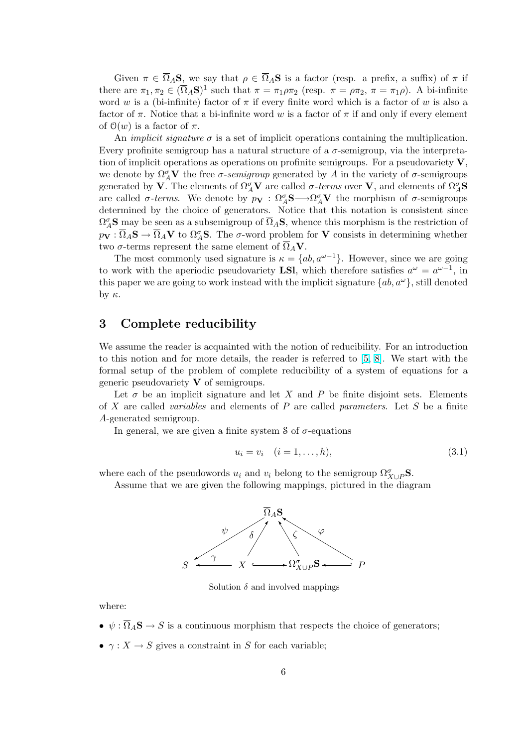<span id="page-5-0"></span>Given  $\pi \in \overline{\Omega}_A$ S, we say that  $\rho \in \overline{\Omega}_A$ S is a factor (resp. a prefix, a suffix) of  $\pi$  if there are  $\pi_1, \pi_2 \in (\overline{\Omega}_A \mathbf{S})^1$  such that  $\pi = \pi_1 \rho \pi_2$  (resp.  $\pi = \rho \pi_2$ ,  $\pi = \pi_1 \rho$ ). A bi-infinite word w is a (bi-infinite) factor of  $\pi$  if every finite word which is a factor of w is also a factor of  $\pi$ . Notice that a bi-infinite word w is a factor of  $\pi$  if and only if every element of  $\mathcal{O}(w)$  is a factor of  $\pi$ .

An *implicit signature*  $\sigma$  is a set of implicit operations containing the multiplication. Every profinite semigroup has a natural structure of a  $\sigma$ -semigroup, via the interpretation of implicit operations as operations on profinite semigroups. For a pseudovariety  $V$ , we denote by  $\Omega^{\sigma}_{A}V$  the free  $\sigma$ -semigroup generated by A in the variety of  $\sigma$ -semigroups generated by **V**. The elements of  $\Omega_A^{\sigma}$ **V** are called  $\sigma$ -terms over **V**, and elements of  $\Omega_A^{\sigma}$ **S** are called  $\sigma$ -terms. We denote by  $p_{\bf V} : \Omega_A^{\sigma} S \longrightarrow \Omega_A^{\sigma} V$  the morphism of  $\sigma$ -semigroups determined by the choice of generators. Notice that this notation is consistent since  $\Omega_A^{\sigma}$ **S** may be seen as a subsemigroup of  $\overline{\Omega}_A$ **S**, whence this morphism is the restriction of  $p_{\bf V} : \overline{\Omega}_A{\bf S} \to \overline{\Omega}_A{\bf V}$  to  $\Omega_A^{\sigma}{\bf S}$ . The  $\sigma$ -word problem for  ${\bf V}$  consists in determining whether two  $\sigma$ -terms represent the same element of  $\overline{\Omega}_A \mathbf{V}$ .

The most commonly used signature is  $\kappa = \{ab, a^{\omega-1}\}\.$  However, since we are going to work with the aperiodic pseudovariety **LSI**, which therefore satisfies  $a^{\omega} = a^{\omega-1}$ , in this paper we are going to work instead with the implicit signature  $\{ab, a^{\omega}\}\$ , still denoted by  $κ$ .

# 3 Complete reducibility

We assume the reader is acquainted with the notion of reducibility. For an introduction to this notion and for more details, the reader is referred to [5, 8]. We start with the formal setup of the problem of complete reducibility of a system of equations for a generic pseudovariety  $V$  of semigroups.

Let  $\sigma$  be an implicit signature and let X and P be finite disjoint sets. Elements of X are called *variables* and ele[me](#page-31-0)nts of P are called *paramet[er](#page-31-0)s*. Let S be a finite A-generated semigroup.

In general, we are given a finite system  $\delta$  of  $\sigma$ -equations

$$
u_i = v_i \quad (i = 1, \dots, h), \tag{3.1}
$$

where each of the pseudowords  $u_i$  and  $v_i$  belong to the semigroup  $\Omega^{\sigma}_{X \cup P}$ **S**.

Assume that we are given the following mappings, pictured in the diagram



Solution  $\delta$  and involved mappings

where:

- $\psi : \overline{\Omega}_A$ **S**  $\rightarrow$  *S* is a continuous morphism that respects the choice of generators;
- $\gamma: X \to S$  gives a constraint in S for each variable;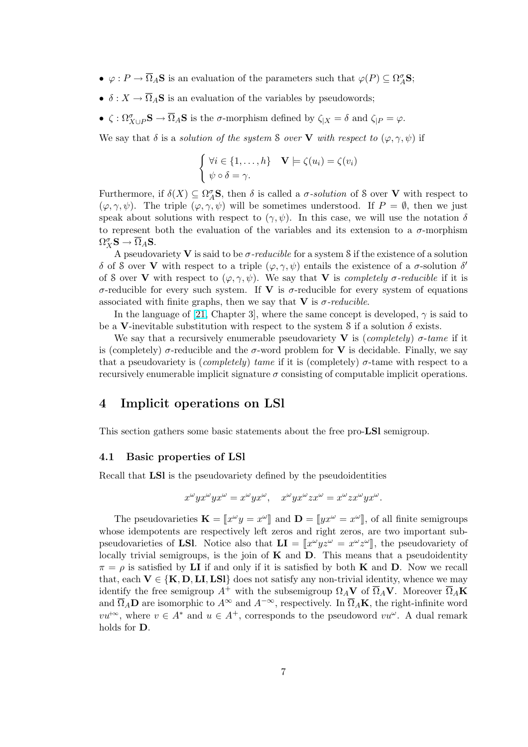- <span id="page-6-0"></span>•  $\varphi: P \to \overline{\Omega}_A$ **S** is an evaluation of the parameters such that  $\varphi(P) \subseteq \Omega_A^{\sigma}$ **S**;
- $\delta: X \to \overline{\Omega}_A$ **S** is an evaluation of the variables by pseudowords;
- $\zeta : \Omega^{\sigma}_{X \cup P} \mathbf{S} \to \overline{\Omega}_A \mathbf{S}$  is the  $\sigma$ -morphism defined by  $\zeta_{|X} = \delta$  and  $\zeta_{|P} = \varphi$ .

We say that  $\delta$  is a *solution of the system* S over **V** with respect to  $(\varphi, \gamma, \psi)$  if

$$
\begin{cases} \forall i \in \{1, \dots, h\} & \mathbf{V} \models \zeta(u_i) = \zeta(v_i) \\ \psi \circ \delta = \gamma. \end{cases}
$$

Furthermore, if  $\delta(X) \subseteq \Omega_A^{\sigma}$ **S**, then  $\delta$  is called a  $\sigma$ -solution of S over **V** with respect to  $(\varphi, \gamma, \psi)$ . The triple  $(\varphi, \gamma, \psi)$  will be sometimes understood. If  $P = \emptyset$ , then we just speak about solutions with respect to  $(\gamma, \psi)$ . In this case, we will use the notation  $\delta$ to represent both the evaluation of the variables and its extension to a  $\sigma$ -morphism  $\Omega^\sigma_X {\mathbf S} \to \overline{\Omega}_A{\mathbf S}.$ 

A pseudovariety V is said to be  $\sigma$ -reducible for a system S if the existence of a solution δ of S over V with respect to a triple  $(φ, γ, ψ)$  entails the existence of a σ-solution δ' of S over V with respect to  $(\varphi, \gamma, \psi)$ . We say that V is *completely*  $\sigma$ *-reducible* if it is σ-reducible for every such system. If V is σ-reducible for every system of equations associated with finite graphs, then we say that  $V$  is  $\sigma$ -reducible.

In the language of [21, Chapter 3], where the same concept is developed,  $\gamma$  is said to be a V-inevitable substitution with respect to the system S if a solution  $\delta$  exists.

We say that a recursively enumerable pseudovariety **V** is (completely)  $\sigma$ -tame if it is (completely)  $\sigma$ -reducible and the  $\sigma$ -word problem for **V** is decidable. Finally, we say that a pseudovariety i[s \(](#page-32-0)completely) tame if it is (completely)  $\sigma$ -tame with respect to a recursively enumerable implicit signature  $\sigma$  consisting of computable implicit operations.

## 4 Implicit operations on LSl

This section gathers some basic statements about the free pro-LSl semigroup.

### 4.1 Basic properties of LSl

Recall that LSl is the pseudovariety defined by the pseudoidentities

$$
x^{\omega}yx^{\omega}yx^{\omega} = x^{\omega}yx^{\omega}, \quad x^{\omega}yx^{\omega}zx^{\omega} = x^{\omega}zx^{\omega}yx^{\omega}.
$$

The pseudovarieties  $\mathbf{K} = [x^{\omega}y = x^{\omega}]$  and  $\mathbf{D} = [yx^{\omega} = x^{\omega}]$ , of all finite semigroups whose idempotents are respectively left zeros and right zeros, are two important subpseudovarieties of LSI. Notice also that  $LI = [x^{\omega}yz^{\omega} = x^{\omega}z^{\omega}]$ , the pseudovariety of locally trivial semigroups, is the join of  $\bf{K}$  and  $\bf{D}$ . This means that a pseudoidentity  $\pi = \rho$  is satisfied by LI if and only if it is satisfied by both K and D. Now we recall that, each  $V \in \{K, D, LI,LSl\}$  does not satisfy any non-trivial identity, whence we may identify the free semigroup  $A^+$  with the subsemigroup  $\Omega_A$ V of  $\overline{\Omega}_A$ V. Moreover  $\overline{\Omega}_A$ K and  $\overline{\Omega}_A$ **D** are isomorphic to  $A^{\infty}$  and  $A^{-\infty}$ , respectively. In  $\overline{\Omega}_A$ **K**, the right-infinite word  $vu^{+\infty}$ , where  $v \in A^*$  and  $u \in A^+$ , corresponds to the pseudoword  $vu^{\omega}$ . A dual remark holds for D.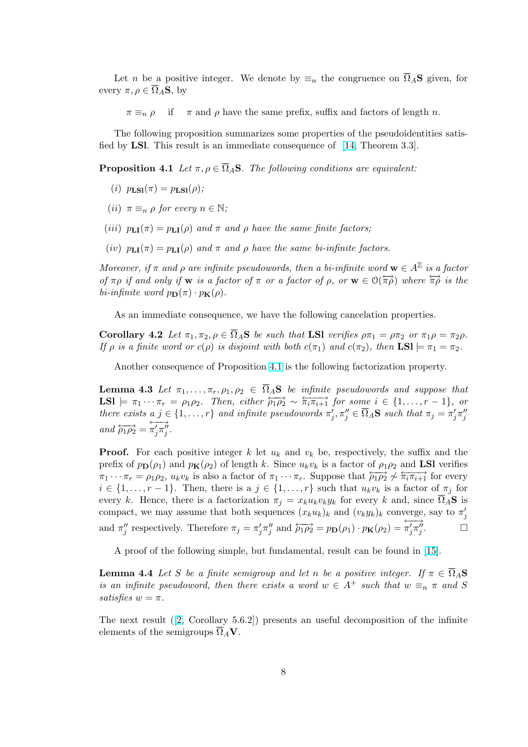<span id="page-7-0"></span>Let n be a positive integer. We denote by  $\equiv_n$  the congruence on  $\overline{\Omega}_A$ **S** given, for every  $\pi, \rho \in \overline{\Omega}_A$ **S**, by

 $\pi \equiv_n \rho$  if  $\pi$  and  $\rho$  have the same prefix, suffix and factors of length n.

The following proposition summarizes some properties of the pseudoidentities satisfied by LSl. This result is an immediate consequence of [14, Theorem 3.3].

**Proposition 4.1** Let  $\pi, \rho \in \overline{\Omega}_A$ **S**. The following conditions are equivalent:

- (i)  $p_{LSI}(\pi) = p_{LSI}(\rho)$ ;
- (*ii*)  $\pi \equiv_n \rho$  for every  $n \in \mathbb{N}$ ;
- (iii)  $p_{LI}(\pi) = p_{LI}(\rho)$  and  $\pi$  and  $\rho$  have the same finite factors;
- (iv)  $p_{LI}(\pi) = p_{LI}(\rho)$  and  $\pi$  and  $\rho$  have the same bi-infinite factors.

Moreover, if  $\pi$  and  $\rho$  are infinite pseudowords, then a bi-infinite word  $\mathbf{w} \in A^{\mathbb{Z}}$  is a factor of  $\pi \rho$  if and only if **w** is a factor of  $\pi$  or a factor of  $\rho$ , or  $\mathbf{w} \in \mathcal{O}(\overleftrightarrow{\pi \rho})$  where  $\overleftrightarrow{\pi \rho}$  is the bi-infinite word  $p_{\mathbf{D}}(\pi) \cdot p_{\mathbf{K}}(\rho)$ .

As an immediate consequence, we have the following cancelation properties.

**Corollary 4.2** Let  $\pi_1, \pi_2, \rho \in \overline{\Omega}_A$ **S** be such that **LSI** verifies  $\rho \pi_1 = \rho \pi_2$  or  $\pi_1 \rho = \pi_2 \rho$ . If  $\rho$  is a finite word or  $c(\rho)$  is disjoint with both  $c(\pi_1)$  and  $c(\pi_2)$ , then  $LSI \models \pi_1 = \pi_2$ .

Another consequence of Proposition 4.1 is the following factorization property.

**Lemma 4.3** Let  $\pi_1, \ldots, \pi_r, \rho_1, \rho_2 \in \overline{\Omega}_A$ **S** be infinite pseudowords and suppose that  $LSI \models \pi_1 \cdots \pi_r = \rho_1 \rho_2$ . Then, either  $\rho_1 \rho_2 \sim \overleftrightarrow{\pi_i \pi_{i+1}}$  for some  $i \in \{1, \ldots, r-1\}$ , or there exists  $a \, j \in \{1, \ldots, r\}$  and infinite pseudowords  $\pi'_j, \pi''_j \in \overline{\Omega}_A$ **S** such that  $\pi_j = \pi'_j \pi''_j$ and  $\overleftrightarrow{\rho_1 \rho_2} = \overleftrightarrow{\pi'_i \pi''_i}$  $\pi'_j \pi^{\prime \prime}_j$  .

**Proof.** For each positive integer k let  $u_k$  and  $v_k$  be, respectively, the suffix and the prefix of  $p_{\mathbf{D}}(\rho_1)$  and  $p_{\mathbf{K}}(\rho_2)$  of length k. Since  $u_kv_k$  is a factor of  $\rho_1\rho_2$  and LSI verifies  $\pi_1 \cdots \pi_r = \rho_1 \rho_2$ ,  $u_k v_k$  is also a factor of  $\pi_1 \cdots \pi_r$ . Suppose that  $\rho_1 \rho_2 \nightharpoonup \pi_i \pi_{i+1}$  for every  $i \in \{1, \ldots, r-1\}$ . Then, there is a  $j \in \{1, \ldots, r\}$  such that  $u_k v_k$  is a factor of  $\pi_j$  for every k. Hence, there is a factorization  $\pi_j = x_k u_k v_k y_k$  for every k and, since  $\overline{\Omega}_A$ **S** is compact, we may assume that both sequences  $(x_k u_k)_k$  and  $(v_k y_k)_k$  converge, say to  $\pi'_j$ and  $\pi''_j$  respectively. Therefore  $\pi_j = \pi'_j \pi''_j$  and  $\rho_1 \rho_2 = p_{\mathbf{D}}(\rho_1) \cdot p_{\mathbf{K}}(\rho_2) = \overline{\pi'_j \pi''_j}$  $\pi'_j \pi''_j$  $\Box$ 

A proof of the following simple, but fundamental, result can be found in [15].

**Lemma 4.4** Let S be a finite semigroup and let n be a positive integer. If  $\pi \in \overline{\Omega}_A$ **S** is a[n](#page-31-0) infinite pseudoword, then there exists a word  $w \in A^+$  such that  $w \equiv_n \pi$  and S satisfies  $w = \pi$ .

The next result  $(2, Corollary 5.6.2)$  presents an useful decomposition of the infinite elements of the semigroups  $\overline{\Omega}_A \mathbf{V}$ .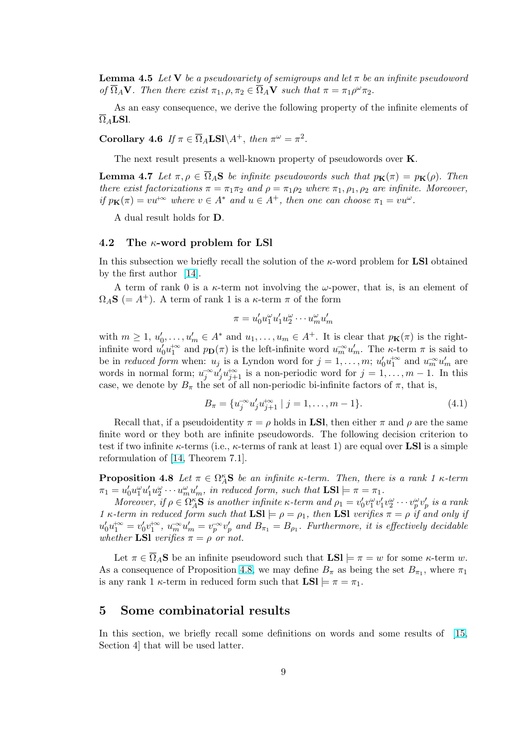<span id="page-8-0"></span>**Lemma 4.5** Let V be a pseudovariety of semigroups and let  $\pi$  be an infinite pseudoword of  $\overline{\Omega}_A \mathbf{V}$ . Then there exist  $\pi_1, \rho, \pi_2 \in \overline{\Omega}_A \mathbf{V}$  such that  $\pi = \pi_1 \rho^{\omega} \pi_2$ .

As an easy consequence, we derive the following property of the infinite elements of  $\overline{\Omega}_A$ **LSl**.

Corollary 4.6 If  $\pi \in \overline{\Omega}_A$ LSl $\setminus A^+$ , then  $\pi^{\omega} = \pi^2$ .

The next result presents a well-known property of pseudowords over **K**.

**Lemma 4.7** Let  $\pi, \rho \in \overline{\Omega}_A$ **S** be infinite pseudowords such that  $p_K(\pi) = p_K(\rho)$ . Then there exist factorizations  $\pi = \pi_1 \pi_2$  and  $\rho = \pi_1 \rho_2$  where  $\pi_1, \rho_1, \rho_2$  are infinite. Moreover, if  $p_{\mathbf{K}}(\pi) = vu^{\otimes}$  where  $v \in A^*$  and  $u \in A^+$ , then one can choose  $\pi_1 = vu^{\omega}$ .

A dual result holds for D.

### 4.2 The κ-word problem for LSl

In this subsection we briefly recall the solution of the  $\kappa$ -word problem for **LSI** obtained by the first author [14].

A term of rank 0 is a  $\kappa$ -term not involving the  $\omega$ -power, that is, is an element of  $\Omega_A$ **S** (= A<sup>+</sup>). A term of rank 1 is a  $\kappa$ -term  $\pi$  of the form

$$
\pi = u_0' u_1^{\omega} u_1' u_2^{\omega} \cdots u_m^{\omega} u_m'
$$

with  $m \geq 1$ ,  $u'_0, \ldots, u'_m \in A^*$  and  $u_1, \ldots, u_m \in A^+$ . It is clear that  $p_{\mathbf{K}}(\pi)$  is the rightinfinite word  $u_0' u_1^{+\infty}$  and  $p_{\mathbf{D}}(\pi)$  is the left-infinite word  $u_m^{-\infty} u_m'$ . The  $\kappa$ -term  $\pi$  is said to be in *reduced form* when:  $u_j$  is a Lyndon word for  $j = 1, \ldots, m$ ;  $u'_0 u_1^{+\infty}$  and  $u_m^{-\infty} u'_m$  are words in normal form;  $u_j^{\infty} u'_j u_{j+1}^{\infty}$  is a non-periodic word for  $j = 1, ..., m - 1$ . In this case, we denote by  $B_{\pi}$  the set of all non-periodic bi-infinite factors of  $\pi$ , that is,

$$
B_{\pi} = \{ u_j^{\infty} u'_j u_{j+1}^{\infty} \mid j = 1, \dots, m-1 \}.
$$
 (4.1)

Recall that, if a pseudoidentity  $\pi = \rho$  holds in **LSI**, then either  $\pi$  and  $\rho$  are the same finite word or they both are infinite pseudowords. The following decision criterion to test if two infinite  $\kappa$ -terms (i.e.,  $\kappa$ -terms of rank at least 1) are equal over **LSI** is a simple reformulation of [14, Theorem 7.1].

**Proposition 4.8** Let  $\pi \in \Omega_A^{\kappa}$  be an infinite  $\kappa$ -term. Then, there is a rank 1  $\kappa$ -term  $\pi_1 = u'_0 u_1^{\omega} u'_1 u_2^{\omega} \cdots u_m^{\omega} u'_m$ , in reduced form, such that  $LSl \models \pi = \pi_1$ .

Moreover, if  $\rho \in \Omega_A^{\kappa}$ **S** is another infinite  $\kappa$ -term and  $\rho_1 = v_0'v_1^{\omega}v_1'v_2^{\omega} \cdots v_p^{\omega}v_p'$  is a rank 1 κ-term in reduced form such that  $LSl \models \rho = \rho_1$ , then LSI verifies  $\pi = \rho$  if and only if  $u'_0u_1^{+\infty} = v'_0v_1^{+\infty}, u_m^{-\infty}u'_m = v_p^{-\infty}v'_p$  and  $B_{\pi_1} = B_{\rho_1}$ . Furthermore, it is effectively decidable whether LSI verifies  $\pi = \rho$  or not.

Let  $\pi \in \overline{\Omega}_A$ S be an infinite pseudoword such that  $LSl \models \pi = w$  for some  $\kappa$ -term w. As a consequence of Proposition 4.8, we may define  $B_{\pi}$  as being the set  $B_{\pi_1}$ , where  $\pi_1$ is any rank 1  $\kappa$ -term in reduced form such that  $LSl \models \pi = \pi_1$ .

# 5 Some combinatorial results

In this section, we briefly recall some definitions on words and some results of [15, Section 4] that will be used latter.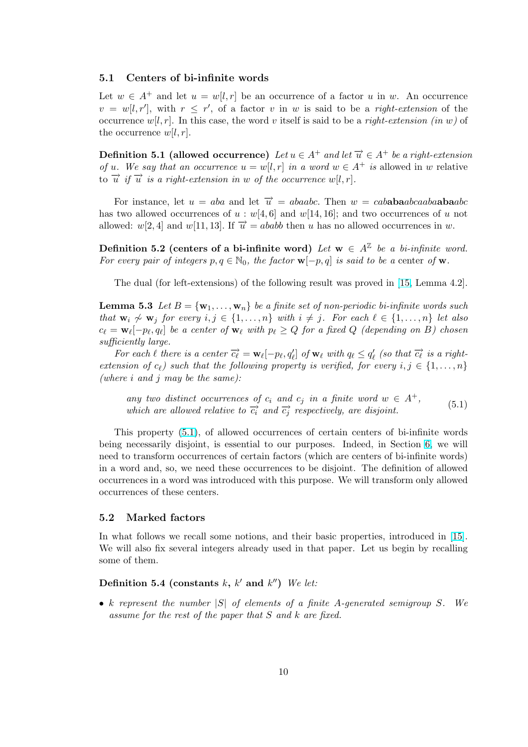## <span id="page-9-0"></span>5.1 Centers of bi-infinite words

Let  $w \in A^+$  and let  $u = w[l, r]$  be an occurrence of a factor u in w. An occurrence  $v = w[l, r']$ , with  $r \leq r'$ , of a factor v in w is said to be a *right-extension* of the occurrence  $w[l, r]$ . In this case, the word v itself is said to be a *right-extension (in w)* of the occurrence  $w[l, r]$ .

**Definition 5.1 (allowed occurrence)** Let  $u \in A^+$  and let  $\overrightarrow{u} \in A^+$  be a right-extension of u. We say that an occurrence  $u = w[l, r]$  in a word  $w \in A^+$  is allowed in w relative to  $\vec{u}$  if  $\vec{u}$  is a right-extension in w of the occurrence w[l, r].

For instance, let  $u = aba$  and let  $\overrightarrow{u} = abaabc$ . Then  $w = cababaabaabaabc$ has two allowed occurrences of  $u : w[4, 6]$  and  $w[14, 16]$ ; and two occurrences of u not allowed: w[2, 4] and w[11, 13]. If  $\overrightarrow{u} = ababb$  then u has no allowed occurrences in w.

Definition 5.2 (centers of a bi-infinite word) Let  $w \in A^{\mathbb{Z}}$  be a bi-infinite word. For every pair of integers  $p, q \in \mathbb{N}_0$ , the factor  $\mathbf{w}[-p, q]$  is said to be a center of  $\mathbf{w}$ .

The dual (for left-extensions) of the following result was proved in [15, Lemma 4.2].

**Lemma 5.3** Let  $B = \{w_1, \ldots, w_n\}$  be a finite set of non-periodic bi-infinite words such that  $\mathbf{w}_i \nsim \mathbf{w}_j$  for every  $i, j \in \{1, \ldots, n\}$  with  $i \neq j$ . For each  $\ell \in \{1, \ldots, n\}$  let also  $c_{\ell} = \mathbf{w}_{\ell}[-p_{\ell}, q_{\ell}]$  be a center of  $\mathbf{w}_{\ell}$  with  $p_{\ell} \ge Q$  for a fixed  $Q$  (dependi[ng o](#page-31-0)n B) chosen sufficiently large.

For each  $\ell$  there is a center  $\vec{c}_{\ell} = \mathbf{w}_{\ell}[-p_{\ell}, q_{\ell}']$  of  $\mathbf{w}_{\ell}$  with  $q_{\ell} \leq q_{\ell}'$  (so that  $\vec{c}_{\ell}$  is a rightextension of  $c_{\ell}$ ) such that the following property is verified, for every  $i, j \in \{1, \ldots, n\}$ (where  $i$  and  $j$  may be the same):

any two distinct occurrences of  $c_i$  and  $c_j$  in a finite word  $w \in A^+$ , which are allowed relative to  $\overrightarrow{c_i}$  and  $\overrightarrow{c_j}$  respectively, are disjoint. (5.1)

This property (5.1), of allowed occurrences of certain centers of bi-infinite words being necessarily disjoint, is essential to our purposes. Indeed, in Section 6, we will need to transform occurrences of certain factors (which are centers of bi-infinite words) in a word and, so, we need these occurrences to be disjoint. The definition of allowed occurrences in a word was introduced with this purpose. We will transform o[nly](#page-11-0) allowed occurrences of these centers.

### 5.2 Marked factors

In what follows we recall some notions, and their basic properties, introduced in [15]. We will also fix several integers already used in that paper. Let us begin by recalling some of them.

## Definition 5.4 (constants k, k' and k'') We let:

• k represent the number  $|S|$  of elements of a finite A-generated semigroup S. We assume for the rest of the paper that S and k are fixed.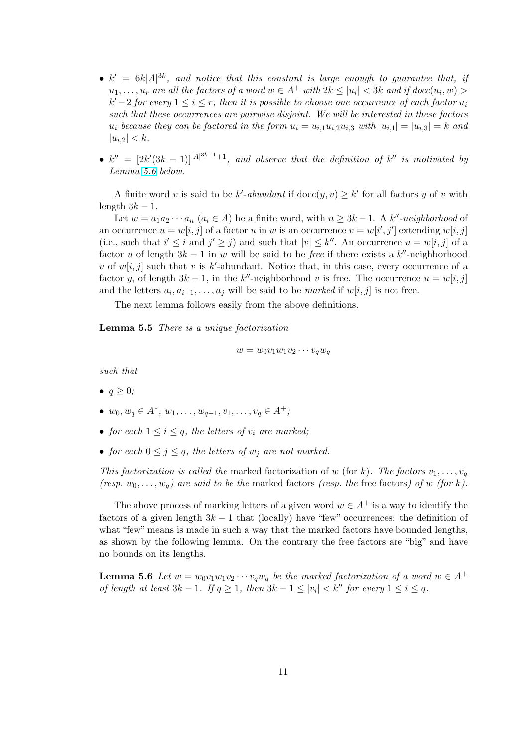- <span id="page-10-0"></span>•  $k' = 6k|A|^{3k}$ , and notice that this constant is large enough to guarantee that, if  $u_1, \ldots, u_r$  are all the factors of a word  $w \in A^+$  with  $2k \leq |u_i| < 3k$  and if  $doc(u_i, w) >$  $k'-2$  for every  $1 \leq i \leq r$ , then it is possible to choose one occurrence of each factor  $u_i$ such that these occurrences are pairwise disjoint. We will be interested in these factors  $u_i$  because they can be factored in the form  $u_i = u_{i,1}u_{i,2}u_{i,3}$  with  $|u_{i,1}| = |u_{i,3}| = k$  and  $|u_{i,2}| < k$ .
- $k'' = [2k'(3k-1)]^{|A|^{3k-1}+1}$ , and observe that the definition of  $k''$  is motivated by Lemma 5.6 below.

A finite word v is said to be k'-abundant if  $\text{doc}(y, v) \geq k'$  for all factors y of v with length  $3k-1$ .

Let  $w = a_1 a_2 \cdots a_n$   $(a_i \in A)$  be a finite word, with  $n \geq 3k - 1$ . A k''-neighborhood of an occurrence  $u = w[i, j]$  of a factor u in w is an occurrence  $v = w[i', j']$  extending  $w[i, j]$ (i.e., such that  $i' \leq i$  and  $j' \geq j$ ) and such that  $|v| \leq k''$ . An occurrence  $u = w[i, j]$  of a factor u of length  $3k - 1$  in w will be said to be *free* if there exists a  $k''$ -neighborhood v of  $w[i, j]$  such that v is k'-abundant. Notice that, in this case, every occurrence of a factor y, of length  $3k - 1$ , in the k''-neighborhood v is free. The occurrence  $u = w[i, j]$ and the letters  $a_i, a_{i+1}, \ldots, a_j$  will be said to be *marked* if  $w[i, j]$  is not free.

The next lemma follows easily from the above definitions.

Lemma 5.5 There is a unique factorization

$$
w = w_0 v_1 w_1 v_2 \cdots v_q w_q
$$

such that

- $q \geq 0$ ;
- $w_0, w_q \in A^*, w_1, \ldots, w_{q-1}, v_1, \ldots, v_q \in A^+;$
- for each  $1 \leq i \leq q$ , the letters of  $v_i$  are marked;
- for each  $0 \leq j \leq q$ , the letters of  $w_j$  are not marked.

This factorization is called the marked factorization of w (for k). The factors  $v_1, \ldots, v_q$ (resp.  $w_0, \ldots, w_q$ ) are said to be the marked factors (resp. the free factors) of w (for k).

The above process of marking letters of a given word  $w \in A^+$  is a way to identify the factors of a given length  $3k - 1$  that (locally) have "few" occurrences: the definition of what "few" means is made in such a way that the marked factors have bounded lengths, as shown by the following lemma. On the contrary the free factors are "big" and have no bounds on its lengths.

**Lemma 5.6** Let  $w = w_0v_1w_1v_2\cdots v_qw_q$  be the marked factorization of a word  $w \in A^+$ of length at least  $3k - 1$ . If  $q \ge 1$ , then  $3k - 1 \le |v_i| < k''$  for every  $1 \le i \le q$ .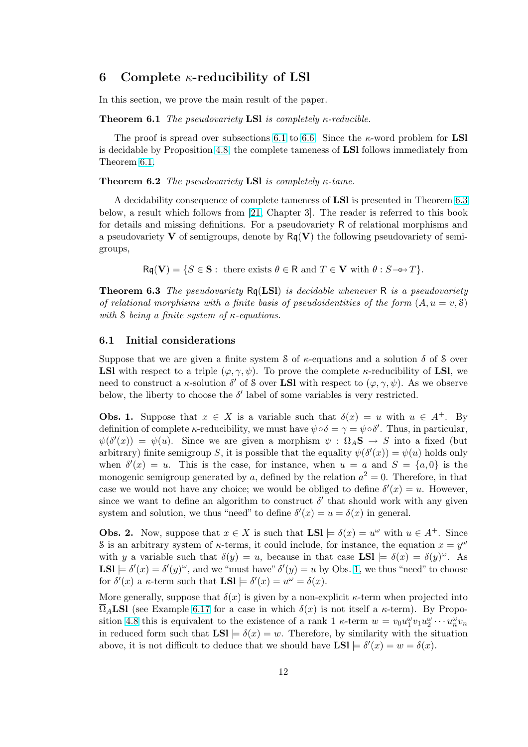# <span id="page-11-0"></span>6 Complete  $\kappa$ -reducibility of LSI

In this section, we prove the main result of the paper.

**Theorem 6.1** The pseudovariety **LSI** is completely  $\kappa$ -reducible.

The proof is spread over subsections 6.1 to 6.6. Since the  $\kappa$ -word problem for **LSI** is decidable by Proposition 4.8, the complete tameness of LSl follows immediately from Theorem 6.1.

### **Theorem 6.2** The pseudovariety LSI is compl[etely](#page-28-0)  $\kappa$ -tame.

A decidability conseque[nce](#page-8-0) of complete tameness of LSl is presented in Theorem 6.3 below, a result which follows from [21, Chapter 3]. The reader is referred to this book for details and missing definitions. For a pseudovariety R of relational morphisms and a pseudovariety  $V$  of semigroups, denote by  $Rq(V)$  the following pseudovariety of semigroups,

 $Rq(V) = \{S \in \mathbf{S} : \text{ there exists } \theta \in \mathbf{R} \text{ and } T \in \mathbf{V} \text{ with } \theta : S \rightarrow T\}.$ 

**Theorem 6.3** The pseudovariety  $Rq(LSI)$  is decidable whenever R is a pseudovariety of relational morphisms with a finite basis of pseudoidentities of the form  $(A, u = v, \mathcal{S})$ with S being a finite system of  $\kappa$ -equations.

### 6.1 Initial considerations

Suppose that we are given a finite system S of  $\kappa$ -equations and a solution  $\delta$  of S over **LSI** with respect to a triple  $(\varphi, \gamma, \psi)$ . To prove the complete  $\kappa$ -reducibility of LSI, we need to construct a  $\kappa$ -solution  $\delta'$  of S over **LSI** with respect to  $(\varphi, \gamma, \psi)$ . As we observe below, the liberty to choose the  $\delta'$  label of some variables is very restricted.

**Obs. 1.** Suppose that  $x \in X$  is a variable such that  $\delta(x) = u$  with  $u \in A^+$ . By definition of complete  $\kappa$ -reducibility, we must have  $\psi \circ \delta = \gamma = \psi \circ \delta'$ . Thus, in particular,  $\psi(\delta'(x)) = \psi(u)$ . Since we are given a morphism  $\psi : \overline{\Omega}_A \mathbf{S} \to S$  into a fixed (but arbitrary) finite semigroup S, it is possible that the equality  $\psi(\delta'(x)) = \psi(u)$  holds only when  $\delta'(x) = u$ . This is the case, for instance, when  $u = a$  and  $S = \{a, 0\}$  is the monogenic semigroup generated by a, defined by the relation  $a^2 = 0$ . Therefore, in that case we would not have any choice; we would be obliged to define  $\delta'(x) = u$ . However, since we want to define an algorithm to construct  $\delta'$  that should work with any given system and solution, we thus "need" to define  $\delta'(x) = u = \delta(x)$  in general.

**Obs. 2.** Now, suppose that  $x \in X$  is such that  $LSl \models \delta(x) = u^{\omega}$  with  $u \in A^+$ . Since S is an arbitrary system of  $\kappa$ -terms, it could include, for instance, the equation  $x = y^{\omega}$ with y a variable such that  $\delta(y) = u$ , because in that case **LSI**  $\models \delta(x) = \delta(y)^\omega$ . As  $LSl \models \delta'(x) = \delta'(y)^\omega$ , and we "must have"  $\delta'(y) = u$  by Obs. 1, we thus "need" to choose for  $\delta'(x)$  a  $\kappa$ -term such that  $\text{LSI} \models \delta'(x) = u^{\omega} = \delta(x)$ .

More generally, suppose that  $\delta(x)$  is given by a non-explicit  $\kappa$ -term when projected into  $\Omega_A$ **LSI** (see Example 6.17 for a case in which  $\delta(x)$  is not itself a  $\kappa$ -term). By Proposition 4.8 this is equivalent to the existence of a rank 1  $\kappa$ -term  $w = v_0 u_1^{\omega} v_1 u_2^{\omega} \cdots u_n^{\omega} v_n$ in reduced form such that  $LSl \models \delta(x) = w$ . Therefore, by similarity with the situation above, it is not difficu[lt to](#page-23-0) deduce that we should have  $\text{LSI} \models \delta'(x) = w = \delta(x)$ .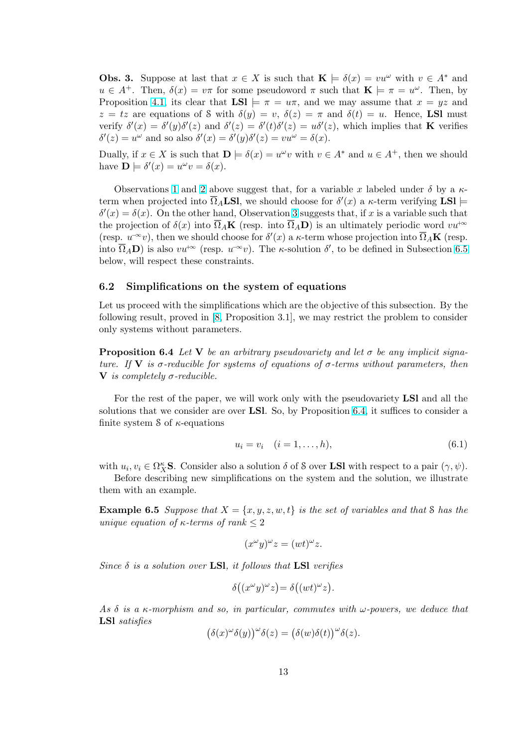<span id="page-12-0"></span>**Obs. 3.** Suppose at last that  $x \in X$  is such that  $\mathbf{K} \models \delta(x) = vu^{\omega}$  with  $v \in A^*$  and  $u \in A^+$ . Then,  $\delta(x) = v\pi$  for some pseudoword  $\pi$  such that  $\mathbf{K} \models \pi = u^{\omega}$ . Then, by Proposition 4.1, its clear that  $LSl \models \pi = u\pi$ , and we may assume that  $x = yz$  and  $z = tz$  are equations of S with  $\delta(y) = v$ ,  $\delta(z) = \pi$  and  $\delta(t) = u$ . Hence, **LSI** must verify  $\delta'(x) = \delta'(y)\delta'(z)$  and  $\delta'(z) = \delta'(t)\delta'(z) = u\delta'(z)$ , which implies that **K** verifies  $\delta'(z) = u^{\omega}$  and so also  $\delta'(x) = \delta'(y)\delta'(z) = vu^{\omega} = \delta(x)$ .

Dually, if  $x \in X$  $x \in X$  is such that  $\mathbf{D} \models \delta(x) = u^{\omega}v$  with  $v \in A^*$  and  $u \in A^+$ , then we should have  $\mathbf{D} \models \delta'(x) = u^{\omega}v = \delta(x)$ .

Observations 1 and 2 above suggest that, for a variable x labeled under  $\delta$  by a  $\kappa$ term when projected into  $\overline{\Omega}_A$ **LSl**, we should choose for  $\delta'(x)$  a  $\kappa$ -term verifying **LSl**  $\delta'(x) = \delta(x)$ . On the other hand, Observation 3 suggests that, if x is a variable such that the projection of  $\delta(x)$  into  $\overline{\Omega}_A\mathbf{K}$  (resp. into  $\overline{\Omega}_A\mathbf{D}$ ) is an ultimately periodic word  $vu^{+\infty}$ (resp.  $u^{\infty}v$ ), the[n w](#page-11-0)e s[hou](#page-11-0)ld choose for  $\delta'(x)$  a  $\kappa$ -term whose projection into  $\overline{\Omega}_A\mathbf{K}$  (resp. into  $\overline{\Omega}_A$ **D**) is also  $vu^{+\infty}$  (resp.  $u^{-\infty}v$ ). The *κ*-solution  $\delta'$ , to be defined in Subsection 6.5 below, will respect these constraints.

### 6.2 Simplifications on the system of equations

Let us proceed with the simplifications which are the objective of this subsection. By the following result, proved in [8, Proposition 3.1], we may restrict the problem to consider only systems without parameters.

**Proposition 6.4** Let V be an arbitrary pseudovariety and let  $\sigma$  be any implicit signature. If V is  $\sigma$ -reducible f[or](#page-31-0) systems of equations of  $\sigma$ -terms without parameters, then **V** is completely  $\sigma$ -reducible.

For the rest of the paper, we will work only with the pseudovariety LSl and all the solutions that we consider are over LSl. So, by Proposition 6.4, it suffices to consider a finite system  $\delta$  of  $\kappa$ -equations

$$
u_i = v_i \quad (i = 1, \dots, h), \tag{6.1}
$$

with  $u_i, v_i \in \Omega_K^{\kappa}$ **S**. Consider also a solution  $\delta$  of S over **LSI** with respect to a pair  $(\gamma, \psi)$ .

Before describing new simplifications on the system and the solution, we illustrate them with an example.

**Example 6.5** Suppose that  $X = \{x, y, z, w, t\}$  is the set of variables and that S has the unique equation of  $\kappa$ -terms of rank  $\leq 2$ 

$$
(x^{\omega}y)^{\omega}z = (wt)^{\omega}z.
$$

Since  $\delta$  is a solution over LSI, it follows that LSI verifies

$$
\delta((x^{\omega}y)^{\omega}z) = \delta((wt)^{\omega}z).
$$

As  $\delta$  is a  $\kappa$ -morphism and so, in particular, commutes with  $\omega$ -powers, we deduce that LSl satisfies ¡  $\sqrt{\omega}$  $\sqrt{\omega}$ 

$$
(\delta(x)^{\omega}\delta(y))^{\omega}\delta(z) = (\delta(w)\delta(t))^{\omega}\delta(z).
$$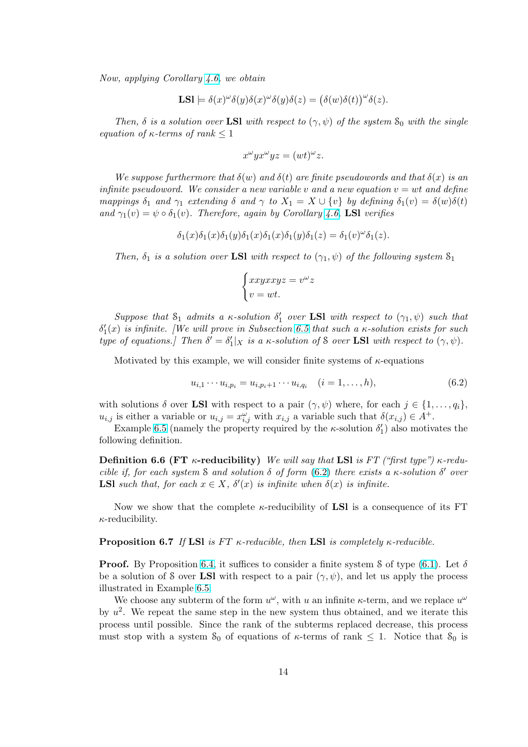<span id="page-13-0"></span>Now, applying Corollary 4.6, we obtain

$$
\mathbf{LSl} \models \delta(x)^{\omega}\delta(y)\delta(x)^{\omega}\delta(y)\delta(z) = (\delta(w)\delta(t))^{\omega}\delta(z).
$$

Then,  $\delta$  is a solution [over](#page-8-0) LSI with respect to  $(\gamma, \psi)$  of the system  $S_0$  with the single equation of  $\kappa$ -terms of rank  $\leq 1$ 

$$
x^{\omega}yx^{\omega}yz = (wt)^{\omega}z.
$$

We suppose furthermore that  $\delta(w)$  and  $\delta(t)$  are finite pseudowords and that  $\delta(x)$  is an infinite pseudoword. We consider a new variable v and a new equation  $v = wt$  and define mappings  $\delta_1$  and  $\gamma_1$  extending  $\delta$  and  $\gamma$  to  $X_1 = X \cup \{v\}$  by defining  $\delta_1(v) = \delta(w)\delta(t)$ and  $\gamma_1(v) = \psi \circ \delta_1(v)$ . Therefore, again by Corollary 4.6, LSI verifies

$$
\delta_1(x)\delta_1(x)\delta_1(y)\delta_1(x)\delta_1(x)\delta_1(y)\delta_1(z) = \delta_1(v)^{\omega}\delta_1(z).
$$

Then,  $\delta_1$  is a solution over LSI with respect to  $(\gamma_1, \psi)$  of the following system  $S_1$ 

$$
\begin{cases} xxyxxyz = v^{\omega}z \\ v = wt. \end{cases}
$$

Suppose that  $S_1$  admits a  $\kappa$ -solution  $\delta'_1$  over **LSI** with respect to  $(\gamma_1, \psi)$  such that  $\delta_1'(x)$  is infinite. [We will prove in Subsection 6.5 that such a  $\kappa$ -solution exists for such type of equations.] Then  $\delta' = \delta_1' |_{X}$  is a  $\kappa$ -solution of S over **LSI** with respect to  $(\gamma, \psi)$ .

Motivated by this example, we will consider finite systems of  $\kappa$ -equations

$$
u_{i,1} \cdots u_{i,p_i} = u_{i,p_i+1} \cdots u_{i,q_i} \quad (i = 1, \ldots, h), \tag{6.2}
$$

with solutions  $\delta$  over **LSI** with respect to a pair  $(\gamma, \psi)$  where, for each  $j \in \{1, ..., q_i\}$ ,  $u_{i,j}$  is either a variable or  $u_{i,j} = x_{i,j}^{\omega}$  with  $x_{i,j}$  a variable such that  $\delta(x_{i,j}) \in A^+$ .

Example 6.5 (namely the property required by the  $\kappa$ -solution  $\delta_1'$ ) also motivates the following definition.

**Definition 6.6 (FT**  $\kappa$ -reducibility) We will say that LSI is FT ("first type")  $\kappa$ -reducible if, for [each](#page-12-0) system S and solution  $\delta$  of form (6.2) there exists a  $\kappa$ -solution  $\delta'$  over **LSI** such that, for each  $x \in X$ ,  $\delta'(x)$  is infinite when  $\delta(x)$  is infinite.

Now we show that the complete  $\kappa$ -reducibility of **LSI** is a consequence of its FT  $\kappa$ -reducibility.

### **Proposition 6.7** If LSI is FT  $\kappa$ -reducible, then LSI is completely  $\kappa$ -reducible.

**Proof.** By Proposition 6.4, it suffices to consider a finite system S of type (6.1). Let  $\delta$ be a solution of S over LSI with respect to a pair  $(\gamma, \psi)$ , and let us apply the process illustrated in Example 6.5.

We choose any subterm of the form  $u^{\omega}$ , with u an infinite  $\kappa$ -term, and we replace  $u^{\omega}$ by  $u^2$ . We repeat the s[ame](#page-12-0) step in the new system thus obtained, and we [itera](#page-12-0)te this process until possible. Since the rank of the subterms replaced decrease, this process must stop with a syst[em](#page-12-0)  $S_0$  of equations of  $\kappa$ -terms of rank  $\leq 1$ . Notice that  $S_0$  is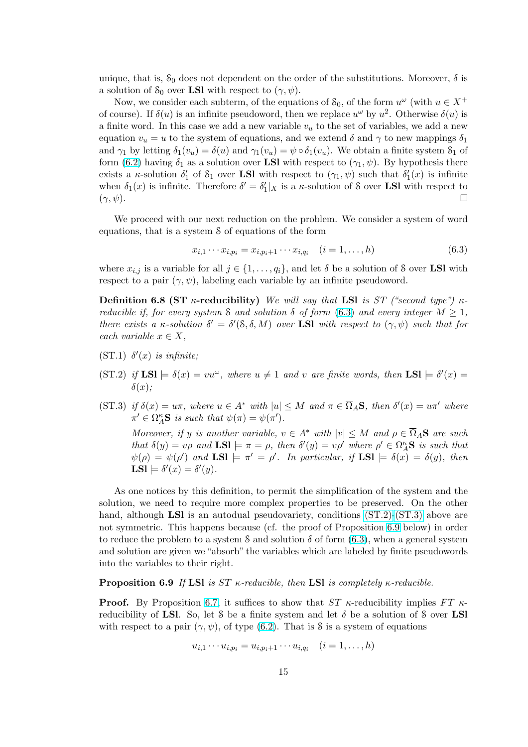<span id="page-14-0"></span>unique, that is,  $S_0$  does not dependent on the order of the substitutions. Moreover,  $\delta$  is a solution of  $S_0$  over **LSI** with respect to  $(\gamma, \psi)$ .

Now, we consider each subterm, of the equations of  $S_0$ , of the form  $u^{\omega}$  (with  $u \in X^+$ of course). If  $\delta(u)$  is an infinite pseudoword, then we replace  $u^{\omega}$  by  $u^2$ . Otherwise  $\delta(u)$  is a finite word. In this case we add a new variable  $v<sub>u</sub>$  to the set of variables, we add a new equation  $v_u = u$  to the system of equations, and we extend  $\delta$  and  $\gamma$  to new mappings  $\delta_1$ and  $\gamma_1$  by letting  $\delta_1(v_u) = \delta(u)$  and  $\gamma_1(v_u) = \psi \circ \delta_1(v_u)$ . We obtain a finite system  $S_1$  of form (6.2) having  $\delta_1$  as a solution over LSI with respect to  $(\gamma_1, \psi)$ . By hypothesis there exists a  $\kappa$ -solution  $\delta'_1$  of  $\mathcal{S}_1$  over **LSI** with respect to  $(\gamma_1, \psi)$  such that  $\delta'_1(x)$  is infinite when  $\delta_1(x)$  is infinite. Therefore  $\delta' = \delta'_1|_X$  is a  $\kappa$ -solution of S over **LSI** with respect to  $(\gamma, \psi)$ [.](#page-13-0)

We proceed with our next reduction on the problem. We consider a system of word equations, that is a system S of equations of the form

$$
x_{i,1} \cdots x_{i,p_i} = x_{i,p_i+1} \cdots x_{i,q_i} \quad (i = 1, \ldots, h)
$$
\n(6.3)

where  $x_{i,j}$  is a variable for all  $j \in \{1, \ldots, q_i\}$ , and let  $\delta$  be a solution of S over LSI with respect to a pair  $(\gamma, \psi)$ , labeling each variable by an infinite pseudoword.

Definition 6.8 (ST  $\kappa$ -reducibility) We will say that LSI is ST ("second type")  $\kappa$ reducible if, for every system S and solution  $\delta$  of form (6.3) and every integer  $M \geq 1$ , there exists a  $\kappa$ -solution  $\delta' = \delta'(8, \delta, M)$  over **LSI** with respect to  $(\gamma, \psi)$  such that for each variable  $x \in X$ ,

- (ST.1)  $\delta'(x)$  is infinite;
- $(ST.2)$  if  $LSl \models \delta(x) = vu^{\omega}$ , where  $u \neq 1$  and v are finite words, then  $LSl \models \delta'(x) =$  $\delta(x)$ ;
- (ST.3) if  $\delta(x) = u\pi$ , where  $u \in A^*$  with  $|u| \leq M$  and  $\pi \in \overline{\Omega}_A$ S, then  $\delta'(x) = u\pi'$  where  $\pi' \in \Omega_A^{\kappa}$ **S** is such that  $\psi(\pi) = \psi(\pi')$ .

Moreover, if y is another variable,  $v \in A^*$  with  $|v| \leq M$  and  $\rho \in \overline{\Omega}_A$ **S** are such that  $\delta(y) = v\rho$  and  $LSl \models \pi = \rho$ , then  $\delta'(y) = v\rho'$  where  $\rho' \in \Omega_A^{\kappa}S$  is such that  $\psi(\rho) = \psi(\rho')$  and  $\text{LSl} \models \pi' = \rho'.$  In particular, if  $\text{LSl} \models \delta(x) = \delta(y)$ , then LSI  $\models \delta'(x) = \delta'(y)$ .

As one notices by this definition, to permit the simplification of the system and the solution, we need to require more complex properties to be preserved. On the other hand, although LSI is an autodual pseudovariety, conditions  $(ST.2)$ - $(ST.3)$  above are not symmetric. This happens because (cf. the proof of Proposition 6.9 below) in order to reduce the problem to a system S and solution  $\delta$  of form  $(6.3)$ , when a general system and solution are given we "absorb" the variables which are labeled by finite pseudowords into the variables to their right.

### **Proposition 6.9** If LSI is ST  $\kappa$ -reducible, then LSI is completely  $\kappa$ -reducible.

**Proof.** By Proposition 6.7, it suffices to show that  $ST$   $\kappa$ -reducibility implies  $FT$   $\kappa$ reducibility of LSI. So, let S be a finite system and let  $\delta$  be a solution of S over LSI with respect to a pair  $(\gamma, \psi)$ , of type (6.2). That is S is a system of equations

$$
u_{i,1} \cdots u_{i,p_i} = u_{i,p_i+1} \cdots u_{i,q_i} \quad (i = 1, \ldots, h)
$$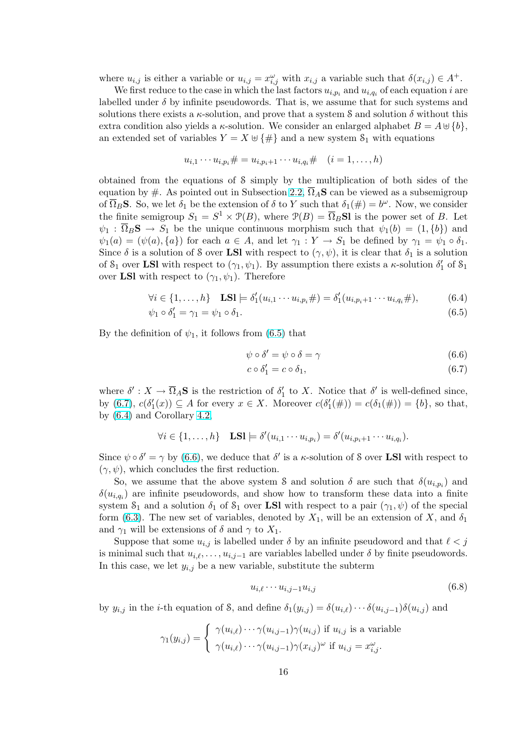<span id="page-15-0"></span>where  $u_{i,j}$  is either a variable or  $u_{i,j} = x_{i,j}^{\omega}$  with  $x_{i,j}$  a variable such that  $\delta(x_{i,j}) \in A^+$ .

We first reduce to the case in which the last factors  $u_{i,p_i}$  and  $u_{i,q_i}$  of each equation i are labelled under  $\delta$  by infinite pseudowords. That is, we assume that for such systems and solutions there exists a  $\kappa$ -solution, and prove that a system S and solution  $\delta$  without this extra condition also yields a  $\kappa$ -solution. We consider an enlarged alphabet  $B = A \oplus \{b\}$ , an extended set of variables  $Y = X \oplus {\{\#\}}$  and a new system  $S_1$  with equations

$$
u_{i,1} \cdots u_{i,p_i} \# = u_{i,p_i+1} \cdots u_{i,q_i} \# \quad (i = 1, \ldots, h)
$$

obtained from the equations of S simply by the multiplication of both sides of the equation by #. As pointed out in Subsection 2.2,  $\overline{\Omega}_A$ S can be viewed as a subsemigroup of  $\overline{\Omega}_B$ **S**. So, we let  $\delta_1$  be the extension of  $\delta$  to Y such that  $\delta_1(\#)=b^{\omega}$ . Now, we consider the finite semigroup  $S_1 = S^1 \times \mathcal{P}(B)$ , where  $\mathcal{P}(B) = \overline{\Omega}_B \mathbf{S} \mathbf{I}$  is the power set of B. Let  $\psi_1 : \Omega_B S \to S_1$  be the unique continuous morphism such that  $\psi_1(b) = (1, \{b\})$  and  $\psi_1(a) = (\psi(a), \{a\})$  for each  $a \in A$ , and let  $\gamma_1 : Y \to S_1$  be defined by  $\gamma_1 = \psi_1 \circ \delta_1$ . Since  $\delta$  is a solution of S over LSI with respect to  $(\gamma, \psi)$ , it is clear that  $\delta_1$  is a solution of  $S_1$  over **LSI** with respect to  $(\gamma_1, \psi_1)$ . By assumption there exists a  $\kappa$ -solution  $\delta'_1$  of  $S_1$ over LSI with respect to  $(\gamma_1, \psi_1)$ . Therefore

$$
\forall i \in \{1, ..., h\} \quad \text{LSl} \models \delta'_1(u_{i,1} \cdots u_{i,p_i} \#) = \delta'_1(u_{i,p_i+1} \cdots u_{i,q_i} \#), \tag{6.4}
$$

$$
\psi_1 \circ \delta_1' = \gamma_1 = \psi_1 \circ \delta_1. \tag{6.5}
$$

By the definition of  $\psi_1$ , it follows from (6.5) that

$$
\psi \circ \delta' = \psi \circ \delta = \gamma \tag{6.6}
$$

$$
c \circ \delta_1' = c \circ \delta_1,\tag{6.7}
$$

where  $\delta': X \to \overline{\Omega}_A$ **S** is the restriction of  $\delta'_1$  to X. Notice that  $\delta'$  is well-defined since, by (6.7),  $c(\delta_1'(x)) \subseteq A$  for every  $x \in X$ . Moreover  $c(\delta_1'(\#)) = c(\delta_1(\#)) = \{b\}$ , so that, by (6.4) and Corollary 4.2,

$$
\forall i \in \{1, \ldots, h\} \quad \textbf{LSl} \models \delta'(u_{i,1} \cdots u_{i,p_i}) = \delta'(u_{i,p_i+1} \cdots u_{i,q_i}).
$$

Since  $\psi \circ \delta' = \gamma$  by (6.[6\), w](#page-7-0)e deduce that  $\delta'$  is a  $\kappa$ -solution of S over **LSI** with respect to  $(\gamma, \psi)$ , which concludes the first reduction.

So, we assume that the above system S and solution  $\delta$  are such that  $\delta(u_{i,p_i})$  and  $\delta(u_{i,q_i})$  are infinite pseudowords, and show how to transform these data into a finite system  $S_1$  and a solution  $\delta_1$  of  $S_1$  over **LSI** with respect to a pair  $(\gamma_1, \psi)$  of the special form (6.3). The new set of variables, denoted by  $X_1$ , will be an extension of X, and  $\delta_1$ and  $\gamma_1$  will be extensions of  $\delta$  and  $\gamma$  to  $X_1$ .

Suppose that some  $u_{i,j}$  is labelled under  $\delta$  by an infinite pseudoword and that  $\ell < j$ is minimal such that  $u_{i,\ell}, \ldots, u_{i,j-1}$  are variables labelled under  $\delta$  by finite pseudowords. In thi[s cas](#page-14-0)e, we let  $y_{i,j}$  be a new variable, substitute the subterm

$$
u_{i,\ell} \cdots u_{i,j-1} u_{i,j} \tag{6.8}
$$

by  $y_{i,j}$  in the *i*-th equation of S, and define  $\delta_1(y_{i,j}) = \delta(u_{i,\ell}) \cdots \delta(u_{i,j-1}) \delta(u_{i,j})$  and

$$
\gamma_1(y_{i,j}) = \begin{cases} \gamma(u_{i,\ell}) \cdots \gamma(u_{i,j-1}) \gamma(u_{i,j}) \text{ if } u_{i,j} \text{ is a variable} \\ \gamma(u_{i,\ell}) \cdots \gamma(u_{i,j-1}) \gamma(x_{i,j})^{\omega} \text{ if } u_{i,j} = x_{i,j}^{\omega}. \end{cases}
$$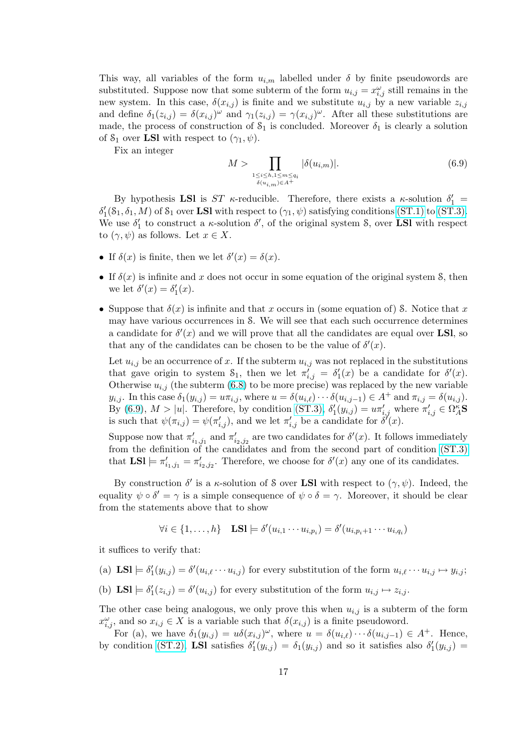This way, all variables of the form  $u_{i,m}$  labelled under  $\delta$  by finite pseudowords are substituted. Suppose now that some subterm of the form  $u_{i,j} = x_{i,j}^{\omega}$  still remains in the new system. In this case,  $\delta(x_{i,j})$  is finite and we substitute  $u_{i,j}$  by a new variable  $z_{i,j}$ and define  $\delta_1(z_{i,j}) = \delta(x_{i,j})^{\omega}$  and  $\gamma_1(z_{i,j}) = \gamma(x_{i,j})^{\omega}$ . After all these substitutions are made, the process of construction of  $S_1$  is concluded. Moreover  $\delta_1$  is clearly a solution of  $S_1$  over LSI with respect to  $(\gamma_1, \psi)$ .

Fix an integer

$$
M > \prod_{\substack{1 \le i \le h, 1 \le m \le q_i \\ \delta(u_{i,m}) \in A^+}} |\delta(u_{i,m})|.
$$
\n
$$
(6.9)
$$

By hypothesis LSI is  $ST$   $\kappa$ -reducible. Therefore, there exists a  $\kappa$ -solution  $\delta'_1$  =  $\delta'_1(\mathcal{S}_1, \delta_1, M)$  of  $\mathcal{S}_1$  over **LSI** with respect to  $(\gamma_1, \psi)$  satisfying conditions (ST.1) to (ST.3). We use  $\delta'_1$  to construct a  $\kappa$ -solution  $\delta'$ , of the original system S, over **LSI** with respect to  $(\gamma, \psi)$  as follows. Let  $x \in X$ .

- If  $\delta(x)$  is finite, then we let  $\delta'(x) = \delta(x)$ .
- If  $\delta(x)$  is infinite and x does not occur in some equation of the original system S, then we let  $\delta'(x) = \delta'_1(x)$ .
- Suppose that  $\delta(x)$  is infinite and that x occurs in (some equation of) S. Notice that x may have various occurrences in S. We will see that each such occurrence determines a candidate for  $\delta'(x)$  and we will prove that all the candidates are equal over LSI, so that any of the candidates can be chosen to be the value of  $\delta'(x)$ .

Let  $u_{i,j}$  be an occurrence of x. If the subterm  $u_{i,j}$  was not replaced in the substitutions that gave origin to system  $S_1$ , then we let  $\pi_{i,j}^{\gamma} = \delta_1^{\gamma}(x)$  be a candidate for  $\delta^{\gamma}(x)$ . Otherwise  $u_{i,j}$  (the subterm (6.8) to be more precise) was replaced by the new variable  $y_{i,j}$ . In this case  $\delta_1(y_{i,j}) = u\pi_{i,j}$ , where  $u = \delta(u_{i,\ell})\cdots\delta(u_{i,j-1}) \in A^+$  and  $\pi_{i,j} = \delta(u_{i,j})$ . By (6.9),  $M > |u|$ . Therefore, by condition (ST.3),  $\delta'_1(y_{i,j}) = u\pi'_{i,j}$  where  $\pi'_{i,j} \in \Omega_A^{\kappa}$ S is such that  $\psi(\pi_{i,j}) = \psi(\pi'_{i,j}),$  and we let  $\pi'_{i,j}$  be a candidate for  $\delta'(x)$ .

Suppose now that  $\pi'_{i_1,j_1}$  and  $\pi'_{i_2,j_2}$  are two candidates for  $\delta'(x)$ . It follows immediately from the definition of the candidates and f[rom th](#page-14-0)e second part of condition (ST.3) that  $LSl \models \pi'_{i_1,j_1} = \pi'_{i_2,j_2}$ . Therefore, we choose for  $\delta'(x)$  any one of its candidates.

By construction  $\delta'$  is a  $\kappa$ -solution of S over **LSI** with respect to  $(\gamma, \psi)$ . Indeed, the equality  $\psi \circ \delta' = \gamma$  is a simple consequence of  $\psi \circ \delta = \gamma$ . Moreover, it should [be clear](#page-14-0) from the statements above that to show

$$
\forall i \in \{1, \ldots, h\} \quad \textbf{LSl} \models \delta'(u_{i,1} \cdots u_{i,p_i}) = \delta'(u_{i,p_i+1} \cdots u_{i,q_i})
$$

it suffices to verify that:

- (a)  $\text{LSI} \models \delta'_1(y_{i,j}) = \delta'(u_{i,\ell} \cdots u_{i,j})$  for every substitution of the form  $u_{i,\ell} \cdots u_{i,j} \mapsto y_{i,j}$ ;
- (b) LSI  $\models \delta'_1(z_{i,j}) = \delta'(u_{i,j})$  for every substitution of the form  $u_{i,j} \mapsto z_{i,j}$ .

The other case being analogous, we only prove this when  $u_{i,j}$  is a subterm of the form  $x_{i,j}^{\omega}$ , and so  $x_{i,j} \in X$  is a variable such that  $\delta(x_{i,j})$  is a finite pseudoword.

For (a), we have  $\delta_1(y_{i,j}) = u\delta(x_{i,j})^\omega$ , where  $u = \delta(u_{i,\ell})\cdots\delta(u_{i,j-1}) \in A^+$ . Hence, by condition (ST.2), LSI satisfies  $\delta'_1(y_{i,j}) = \delta_1(y_{i,j})$  and so it satisfies also  $\delta'_1(y_{i,j}) =$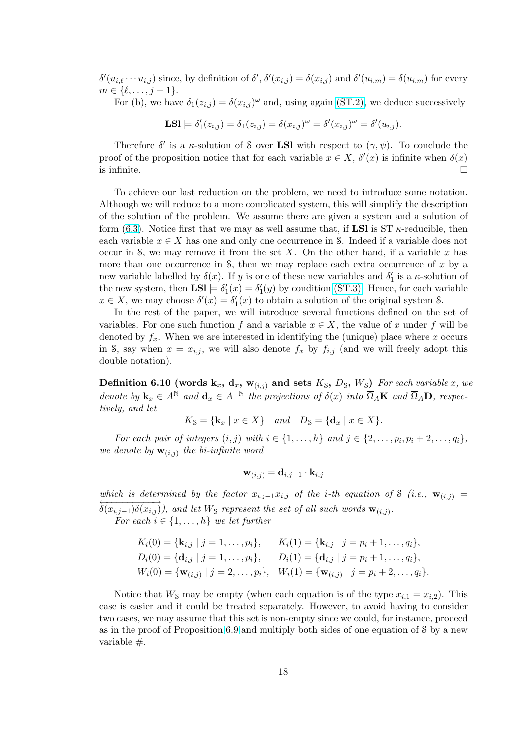$\delta'(u_{i,\ell}\cdots u_{i,j})$  since, by definition of  $\delta', \delta'(x_{i,j}) = \delta(x_{i,j})$  and  $\delta'(u_{i,m}) = \delta(u_{i,m})$  for every  $m \in \{ \ell, \ldots, j - 1 \}.$ 

For (b), we have  $\delta_1(z_{i,j}) = \delta(x_{i,j})^\omega$  and, using again (ST.2), we deduce successively

**LSI** 
$$
\models \delta'_1(z_{i,j}) = \delta_1(z_{i,j}) = \delta(x_{i,j})^{\omega} = \delta'(x_{i,j})^{\omega} = \delta'(u_{i,j}).
$$

Therefore  $\delta'$  is a  $\kappa$ -solution of S over **LSI** with res[pect to](#page-14-0)  $(\gamma, \psi)$ . To conclude the proof of the proposition notice that for each variable  $x \in X$ ,  $\delta'(x)$  is infinite when  $\delta(x)$ is infinite.  $\Box$ 

To achieve our last reduction on the problem, we need to introduce some notation. Although we will reduce to a more complicated system, this will simplify the description of the solution of the problem. We assume there are given a system and a solution of form (6.3). Notice first that we may as well assume that, if  $LSI$  is ST  $\kappa$ -reducible, then each variable  $x \in X$  has one and only one occurrence in S. Indeed if a variable does not occur in S, we may remove it from the set X. On the other hand, if a variable x has more than one occurrence in  $S$ , then we may replace each extra occurrence of x by a new v[aria](#page-14-0)ble labelled by  $\delta(x)$ . If y is one of these new variables and  $\delta'_1$  is a  $\kappa$ -solution of the new system, then  $LSl \models \delta'_1(x) = \delta'_1(y)$  by condition (ST.3). Hence, for each variable  $x \in X$ , we may choose  $\delta'(x) = \delta'_1(x)$  to obtain a solution of the original system S.

In the rest of the paper, we will introduce several functions defined on the set of variables. For one such function f and a variable  $x \in X$ , the value of x under f will be denoted by  $f_x$ . When we are interested in identifying t[he \(uniq](#page-14-0)ue) place where x occurs in S, say when  $x = x_{i,j}$ , we will also denote  $f_x$  by  $f_{i,j}$  (and we will freely adopt this double notation).

Definition 6.10 (words  $k_x$ ,  $d_x$ ,  $w_{(i,j)}$  and sets  $K_s$ ,  $D_s$ ,  $W_s$ ) For each variable x, we denote by  $\mathbf{k}_x \in A^{\mathbb{N}}$  and  $\mathbf{d}_x \in A^{-\mathbb{N}}$  the projections of  $\delta(x)$  into  $\overline{\Omega}_A \mathbf{K}$  and  $\overline{\Omega}_A \mathbf{D}$ , respectively, and let

 $K_S = {\mathbf{k}_x \mid x \in X} \quad and \quad D_S = {\mathbf{d}_x \mid x \in X}.$ 

For each pair of integers  $(i, j)$  with  $i \in \{1, \ldots, h\}$  and  $j \in \{2, \ldots, p_i, p_i + 2, \ldots, q_i\},$ we denote by  $\mathbf{w}_{(i,j)}$  the bi-infinite word

$$
\mathbf{w}_{(i,j)} = \mathbf{d}_{i,j-1} \cdot \mathbf{k}_{i,j}
$$

which is determined by the factor  $x_{i,j-1}x_{i,j}$  of the i-th equation of S (i.e.,  $\mathbf{w}_{(i,j)} =$  $\overleftrightarrow{\delta(x_{i,j-1})\delta(x_{i,j})}$ , and let W<sub>S</sub> represent the set of all such words  $\mathbf{w}_{(i,j)}$ .

For each  $i \in \{1, \ldots, h\}$  we let further

$$
K_i(0) = \{ \mathbf{k}_{i,j} \mid j = 1, \dots, p_i \}, \qquad K_i(1) = \{ \mathbf{k}_{i,j} \mid j = p_i + 1, \dots, q_i \},
$$
  
\n
$$
D_i(0) = \{ \mathbf{d}_{i,j} \mid j = 1, \dots, p_i \}, \qquad D_i(1) = \{ \mathbf{d}_{i,j} \mid j = p_i + 1, \dots, q_i \},
$$
  
\n
$$
W_i(0) = \{ \mathbf{w}_{(i,j)} \mid j = 2, \dots, p_i \}, \quad W_i(1) = \{ \mathbf{w}_{(i,j)} \mid j = p_i + 2, \dots, q_i \}.
$$

Notice that  $W_{\mathcal{S}}$  may be empty (when each equation is of the type  $x_{i,1} = x_{i,2}$ ). This case is easier and it could be treated separately. However, to avoid having to consider two cases, we may assume that this set is non-empty since we could, for instance, proceed as in the proof of Proposition 6.9 and multiply both sides of one equation of S by a new variable #.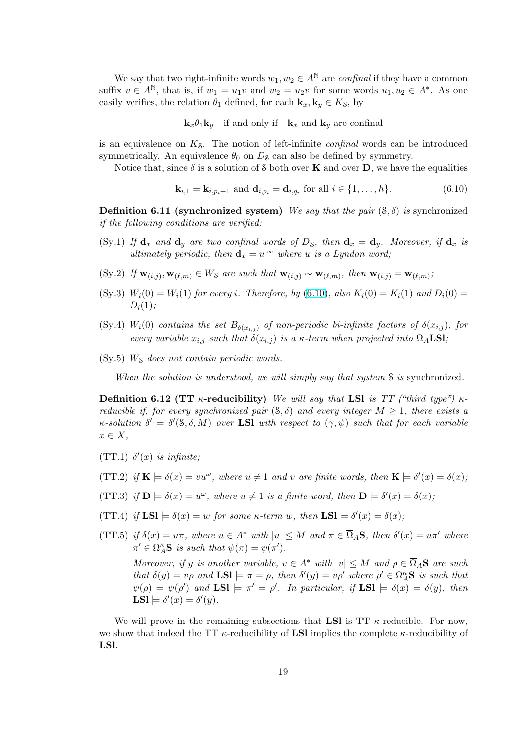<span id="page-18-0"></span>We say that two right-infinite words  $w_1, w_2 \in A^{\mathbb{N}}$  are *confinal* if they have a common suffix  $v \in A^{\mathbb{N}}$ , that is, if  $w_1 = u_1v$  and  $w_2 = u_2v$  for some words  $u_1, u_2 \in A^*$ . As one easily verifies, the relation  $\theta_1$  defined, for each  $\mathbf{k}_x, \mathbf{k}_y \in K_S$ , by

 $\mathbf{k}_x \theta_1 \mathbf{k}_y$  if and only if  $\mathbf{k}_x$  and  $\mathbf{k}_y$  are confinal

is an equivalence on  $K_{\mathcal{S}}$ . The notion of left-infinite *confinal* words can be introduced symmetrically. An equivalence  $\theta_0$  on  $D_s$  can also be defined by symmetry.

Notice that, since  $\delta$  is a solution of S both over **K** and over **D**, we have the equalities

$$
\mathbf{k}_{i,1} = \mathbf{k}_{i,p_i+1} \text{ and } \mathbf{d}_{i,p_i} = \mathbf{d}_{i,q_i} \text{ for all } i \in \{1,\ldots,h\}. \tag{6.10}
$$

**Definition 6.11 (synchronized system)** We say that the pair  $(\mathcal{S}, \delta)$  is synchronized if the following conditions are verified:

- (Sy.1) If  $\mathbf{d}_x$  and  $\mathbf{d}_y$  are two confinal words of  $D_{\mathcal{S}}$ , then  $\mathbf{d}_x = \mathbf{d}_y$ . Moreover, if  $\mathbf{d}_x$  is ultimately periodic, then  $\mathbf{d}_x = u^{-\infty}$  where u is a Lyndon word;
- (Sy.2) If  $\mathbf{w}_{(i,j)}, \mathbf{w}_{(\ell,m)} \in W_{\mathcal{S}}$  are such that  $\mathbf{w}_{(i,j)} \sim \mathbf{w}_{(\ell,m)}$ , then  $\mathbf{w}_{(i,j)} = \mathbf{w}_{(\ell,m)}$ ;
- (Sy.3)  $W_i(0) = W_i(1)$  for every i. Therefore, by (6.10), also  $K_i(0) = K_i(1)$  and  $D_i(0) =$  $D_i(1);$
- (Sy.4)  $W_i(0)$  contains the set  $B_{\delta(x_i,j)}$  of non-periodic bi-infinite factors of  $\delta(x_{i,j})$ , for every variable  $x_{i,j}$  such that  $\delta(x_{i,j})$  is a  $\kappa$ -term when projected into  $\overline{\Omega}_A$ **LSI**;
- $(Sy.5)$  W<sub>S</sub> does not contain periodic words.

When the solution is understood, we will simply say that system S is synchronized.

Definition 6.12 (TT  $\kappa$ -reducibility) We will say that LSI is TT ("third type")  $\kappa$ reducible if, for every synchronized pair  $(S, \delta)$  and every integer  $M > 1$ , there exists a  $\kappa$ -solution  $\delta' = \delta'(\delta, \delta, M)$  over **LSI** with respect to  $(\gamma, \psi)$  such that for each variable  $x \in X$ ,

- (TT.1)  $\delta'(x)$  is infinite;
- (TT.2) if  $\mathbf{K} \models \delta(x) = vu^{\omega}$ , where  $u \neq 1$  and v are finite words, then  $\mathbf{K} \models \delta'(x) = \delta(x)$ ;
- (TT.3) if  $\mathbf{D} \models \delta(x) = u^{\omega}$ , where  $u \neq 1$  is a finite word, then  $\mathbf{D} \models \delta'(x) = \delta(x)$ ;
- (TT.4) if  $LSI \models \delta(x) = w$  for some  $\kappa$ -term w, then  $LSI \models \delta'(x) = \delta(x)$ ;
- (TT.5) if  $\delta(x) = u\pi$ , where  $u \in A^*$  with  $|u| \leq M$  and  $\pi \in \overline{\Omega}_A$ S, then  $\delta'(x) = u\pi'$  where  $\pi' \in \Omega_A^{\kappa}$ **S** is such that  $\psi(\pi) = \psi(\pi').$

Moreover, if y is another variable,  $v \in A^*$  with  $|v| \leq M$  and  $\rho \in \overline{\Omega}_A$ **S** are such that  $\delta(y) = v\rho$  and  $LSl \models \pi = \rho$ , then  $\delta'(y) = v\rho'$  where  $\rho' \in \Omega_A^{\kappa}S$  is such that  $\psi(\rho) = \psi(\rho')$  and  $\text{LSl} \models \pi' = \rho'.$  In particular, if  $\text{LSl} \models \delta(x) = \delta(y)$ , then LSI  $\models \delta'(x) = \delta'(y)$ .

We will prove in the remaining subsections that **LSI** is  $TT$   $\kappa$ -reducible. For now, we show that indeed the TT  $\kappa$ -reducibility of LSI implies the complete  $\kappa$ -reducibility of LSl.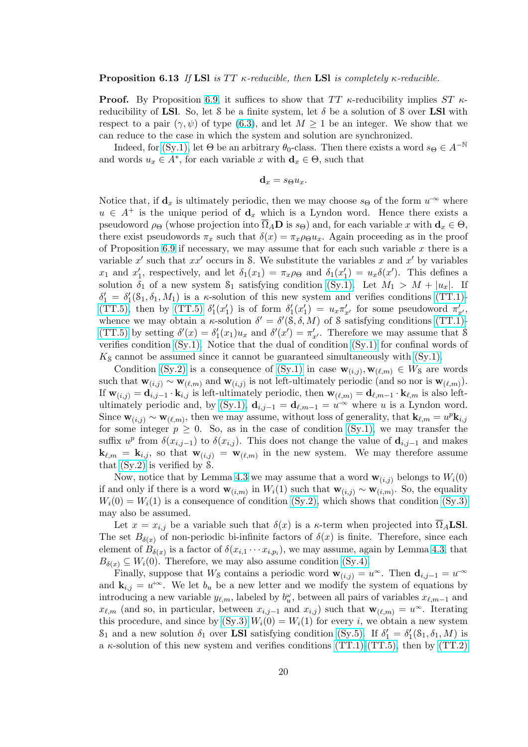**Proof.** By Proposition 6.9, it suffices to show that  $TT$   $\kappa$ -reducibility implies  $ST$   $\kappa$ reducibility of LSI. So, let S be a finite system, let  $\delta$  be a solution of S over LSI with respect to a pair  $(\gamma, \psi)$  of type (6.3), and let  $M \geq 1$  be an integer. We show that we can reduce to the case in which the system and solution are synchronized.

Indeed, for (Sy.1), let  $\Theta$  be an arbitrary  $\theta_0$ -class. Then there exists a word  $s_{\Theta} \in A^{-\mathbb{N}}$ and words  $u_x \in A^*$ , for each vari[able](#page-14-0) x with  $\mathbf{d}_x \in \Theta$ , such that

$$
\mathbf{d}_x = s_{\Theta} u_x.
$$

Notice that, if  $\mathbf{d}_x$  [is u](#page-18-0)ltimately periodic, then we may choose  $s_{\Theta}$  of the form  $u^{\infty}$  where  $u \in A^+$  is the unique period of  $\mathbf{d}_x$  which is a Lyndon word. Hence there exists a pseudoword  $\rho_{\Theta}$  (whose projection into  $\Omega_A \mathbf{D}$  is  $s_{\Theta}$ ) and, for each variable x with  $\mathbf{d}_x \in \Theta$ , there exist pseudowords  $\pi_x$  such that  $\delta(x) = \pi_x \rho_{\Theta} u_x$ . Again proceeding as in the proof of Proposition 6.9 if necessary, we may assume that for each such variable  $x$  there is a variable x' such that  $xx'$  occurs in S. We substitute the variables x and x' by variables  $x_1$  and  $x'_1$ , respectively, and let  $\delta_1(x_1) = \pi_x \rho_{\Theta}$  and  $\delta_1(x'_1) = u_x \delta(x')$ . This defines a solution  $\delta_1$  of a new system  $S_1$  satisfying condition (Sy.1). Let  $M_1 > M + |u_x|$ . If  $\delta_1' = \delta_1'(\delta_1, \delta_1, M_1)$  $\delta_1' = \delta_1'(\delta_1, \delta_1, M_1)$  $\delta_1' = \delta_1'(\delta_1, \delta_1, M_1)$  is a  $\kappa$ -solution of this new system and verifies conditions (TT.1)-(TT.5), then by (TT.5)  $\delta'_1(x'_1)$  is of form  $\delta'_1(x'_1) = u_x \pi'_{x'}$  for some pseudoword  $\pi'_{x'}$ , whence we may obtain a  $\kappa$ -solution  $\delta' = \delta'(s, \delta, M)$  of S satisfying conditions (TT.1)-(TT.5) by setting  $\delta'(x) = \delta'_1(x_1)u_x$  and  $\delta'(x') = \pi'_{x'}$ . [Theref](#page-18-0)ore we may assume that S verifies condition (Sy.1). Notice that the dual of condition (Sy.1) for confinal [words of](#page-18-0)  $K<sub>S</sub>$  [can](#page-18-0)not be ass[umed si](#page-18-0)nce it cannot be guaranteed simultaneously with  $(S<sub>y</sub>,1)$ .

Condition (Sy.2) is a consequence of (Sy.1) in case  $\mathbf{w}_{(i,j)}, \mathbf{w}_{(\ell,m)} \in W_S$  ar[e words](#page-18-0) [such th](#page-18-0)at  $\mathbf{w}_{(i,j)} \sim \mathbf{w}_{(\ell,m)}$  and  $\mathbf{w}_{(i,j)}$  is not left-ultimately periodic (and so nor is  $\mathbf{w}_{(\ell,m)}$ ). If  $\mathbf{w}_{(i,j)} = \mathbf{d}_{i,j-1} \cdot \mathbf{k}_{i,j}$  $\mathbf{w}_{(i,j)} = \mathbf{d}_{i,j-1} \cdot \mathbf{k}_{i,j}$  $\mathbf{w}_{(i,j)} = \mathbf{d}_{i,j-1} \cdot \mathbf{k}_{i,j}$  [is](#page-18-0) left-ultimately periodic, then  $\mathbf{w}_{(\ell,m)} = \mathbf{d}_{\ell,m-1} \cdot \mathbf{k}_{\ell,m}$  is also leftultimately periodic and, by (Sy.1),  $\mathbf{d}_{i,j-1} = \mathbf{d}_{\ell,m-1} = u^{-\infty}$  where u is a [Lyndon](#page-18-0) word. Since  $\mathbf{w}_{(i,j)} \sim \mathbf{w}_{(\ell,m)}$  $\mathbf{w}_{(i,j)} \sim \mathbf{w}_{(\ell,m)}$  $\mathbf{w}_{(i,j)} \sim \mathbf{w}_{(\ell,m)}$ , then we may assum[e, witho](#page-18-0)ut loss of generality, that  $\mathbf{k}_{\ell,m} = u^p \mathbf{k}_{i,j}$ for some integer  $p \geq 0$ . So, as in the case of condition (Sy.1), we may transfer the suffix  $u^p$  from  $\delta(x_{i,j-1})$  to  $\delta(x_{i,j})$ . This does not change the value of  $\mathbf{d}_{i,j-1}$  and makes  ${\bf k}_{\ell,m} = {\bf k}_{i,j}$ , so that  ${\bf w}_{(i,j)} = {\bf w}_{(\ell,m)}$  ${\bf w}_{(i,j)} = {\bf w}_{(\ell,m)}$  ${\bf w}_{(i,j)} = {\bf w}_{(\ell,m)}$  in the new system. We may therefore assume that (Sy.2) is verified by S.

Now, notice that by Lemma 4.3 we may assume that a [word](#page-18-0)  $\mathbf{w}_{(i,j)}$  belongs to  $W_i(0)$ if and only if there is a word  $\mathbf{w}_{(i,m)}$  in  $W_i(1)$  such that  $\mathbf{w}_{(i,j)} \sim \mathbf{w}_{(i,m)}$ . So, the equality  $W_i(0) = W_i(1)$  is a consequence of condition (Sy.2), which shows that condition (Sy.3) may [also be](#page-18-0) assumed.

Let  $x = x_{i,j}$  be a variable s[uch](#page-7-0) that  $\delta(x)$  is a  $\kappa$ -term when projected into  $\Omega_A$ **LSI**. The set  $B_{\delta(x)}$  of non-periodic bi-infinite factors of  $\delta(x)$  is finite. Therefore, since each element of  $B_{\delta(x)}$  is a factor of  $\delta(x_{i,1} \cdots x_{i,p_i})$ , [we may](#page-18-0) assume, again by Lemma 4.[3, that](#page-18-0)  $B_{\delta(x)} \subseteq W_i(0)$ . Therefore, we may also assume condition (Sy.4).

Finally, suppose that  $W_{\mathcal{S}}$  contains a periodic word  $\mathbf{w}_{(i,j)} = u^{\infty}$ . Then  $\mathbf{d}_{i,j-1} = u^{-\infty}$ and  $\mathbf{k}_{i,j} = u^{+\infty}$ . We let  $b_u$  be a new letter and we modify the system of equations by introducing a new variable  $y_{\ell,m}$  $y_{\ell,m}$  $y_{\ell,m}$ , labeled by  $b_u^{\omega}$ , between all pairs of variables  $x_{\ell,m-1}$  and  $x_{\ell,m}$  (and so, in particular, between  $x_{i,j-1}$  and  $x_{i,j}$ ) suc[h that](#page-18-0)  $\mathbf{w}_{(\ell,m)} = u^{\infty}$ . Iterating this procedure, and since by  $(Sy.3)$   $W_i(0) = W_i(1)$  for every i, we obtain a new system  $S_1$  and a new solution  $\delta_1$  over **LSI** satisfying condition (Sy.5). If  $\delta'_1 = \delta'_1(\delta_1, \delta_1, M)$  is a  $\kappa$ -solution of this new system and verifies conditions (TT.1)-(TT.5), then by (TT.2)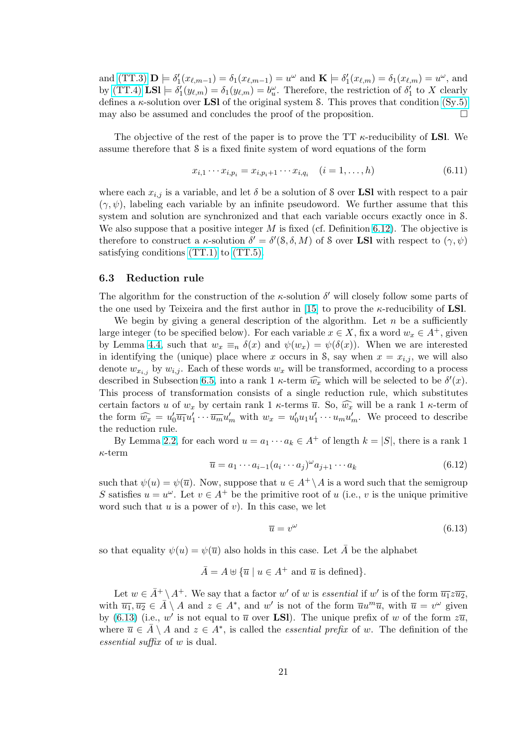<span id="page-20-0"></span>and (TT.3)  $\mathbf{D} \models \delta'_1(x_{\ell,m-1}) = \delta_1(x_{\ell,m-1}) = u^\omega$  and  $\mathbf{K} \models \delta'_1(x_{\ell,m}) = \delta_1(x_{\ell,m}) = u^\omega$ , and by (TT.4)  $\text{LSI} \models \delta_1'(y_{\ell,m}) = \delta_1(y_{\ell,m}) = b_w^{\omega}$ . Therefore, the restriction of  $\delta_1'$  to X clearly defines a  $\kappa$ -solution over **LSI** of the original system S. This proves that condition (Sy.5) may [also be](#page-18-0) assumed and concludes the proof of the proposition.  $\Box$ 

[The ob](#page-18-0)jective of the rest of the paper is to prove the TT  $\kappa$ -reducibility of LSI. We assume therefore that S is a fixed finite system of word equations of the form

$$
x_{i,1} \cdots x_{i,p_i} = x_{i,p_i+1} \cdots x_{i,q_i} \quad (i = 1, \ldots, h)
$$
\n(6.11)

where each  $x_{i,j}$  is a variable, and let  $\delta$  be a solution of S over **LSI** with respect to a pair  $(\gamma, \psi)$ , labeling each variable by an infinite pseudoword. We further assume that this system and solution are synchronized and that each variable occurs exactly once in S. We also suppose that a positive integer  $M$  is fixed (cf. Definition 6.12). The objective is therefore to construct a  $\kappa$ -solution  $\delta' = \delta'(\delta, \delta, M)$  of S over **LSI** with respect to  $(\gamma, \psi)$ satisfying conditions (TT.1) to (TT.5).

### 6.3 Reduction rule

The algorithm for th[e constr](#page-18-0)uc[tion of t](#page-18-0)he  $\kappa$ -solution  $\delta'$  will closely follow some parts of the one used by Teixeira and the first author in [15] to prove the  $\kappa$ -reducibility of LSI.

We begin by giving a general description of the algorithm. Let  $n$  be a sufficiently large integer (to be specified below). For each variable  $x \in X$ , fix a word  $w_x \in A^+$ , given by Lemma 4.4, such that  $w_x \equiv_n \delta(x)$  and  $\psi(w_x) = \psi(\delta(x))$ . When we are interested in identifying the (unique) place where x occur[s in](#page-31-0) S, say when  $x = x_{i,j}$ , we will also denote  $w_{x_i}$ , by  $w_{i,j}$ . Each of these words  $w_x$  will be transformed, according to a process described in Subsection 6.5, into a rank 1  $\kappa$ -term  $\widehat{w_x}$  which will be selected to be  $\delta'(x)$ . This proce[ss o](#page-7-0)f transformation consists of a single reduction rule, which substitutes certain factors u of  $w_x$  by certain rank 1  $\kappa$ -terms  $\overline{u}$ . So,  $\widehat{w_x}$  will be a rank 1  $\kappa$ -term of the form  $\widehat{w_x} = u'_0 \overline{u_1} u'_1 \cdots \overline{u_m} u'_m$  with  $w_x = u'_0 u_1 u'_1 \cdots u_m u'_m$ . We proceed to describe the reduction rule.

By Lemma 2.2, for each word  $u = a_1 \cdots a_k \in A^+$  of length  $k = |S|$ , there is a rank 1  $\kappa$ -term

$$
\overline{u} = a_1 \cdots a_{i-1} (a_i \cdots a_j)^{\omega} a_{j+1} \cdots a_k \tag{6.12}
$$

such that  $\psi(u) = \psi(\overline{u})$  $\psi(u) = \psi(\overline{u})$  $\psi(u) = \psi(\overline{u})$ . Now, suppose that  $u \in A^+ \backslash A$  is a word such that the semigroup S satisfies  $u = u^{\omega}$ . Let  $v \in A^+$  be the primitive root of u (i.e., v is the unique primitive word such that  $u$  is a power of  $v$ ). In this case, we let

$$
\overline{u} = v^{\omega} \tag{6.13}
$$

so that equality  $\psi(u) = \psi(\overline{u})$  also holds in this case. Let  $\overline{A}$  be the alphabet

$$
\bar{A} = A \oplus \{ \bar{u} \mid u \in A^+ \text{ and } \bar{u} \text{ is defined} \}.
$$

Let  $w \in \bar{A}^+ \setminus A^+$ . We say that a factor w' of w is essential if w' is of the form  $\overline{u_1}z\overline{u_2}$ , with  $\overline{u_1}, \overline{u_2} \in \overline{A} \setminus A$  and  $z \in A^*$ , and w' is not of the form  $\overline{u}u^m\overline{u}$ , with  $\overline{u} = v^{\omega}$  given by (6.13) (i.e., w' is not equal to  $\overline{u}$  over **LSI**). The unique prefix of w of the form  $z\overline{u}$ , where  $\overline{u} \in \overline{A} \setminus A$  and  $z \in A^*$ , is called the *essential prefix* of w. The definition of the essential suffix of w is dual.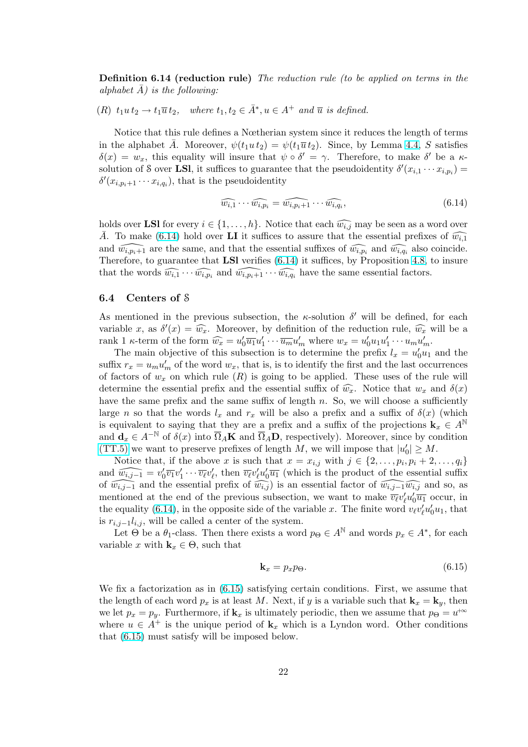<span id="page-21-0"></span>**Definition 6.14 (reduction rule)** The reduction rule (to be applied on terms in the alphabet  $A)$  is the following:

(R)  $t_1u t_2 \rightarrow t_1 \overline{u} t_2$ , where  $t_1, t_2 \in \overline{A}^*, u \in A^+$  and  $\overline{u}$  is defined.

Notice that this rule defines a Nœtherian system since it reduces the length of terms in the alphabet A. Moreover,  $\psi(t_1u t_2) = \psi(t_1\overline{u} t_2)$ . Since, by Lemma 4.4, S satisfies  $\delta(x) = w_x$ , this equality will insure that  $\psi \circ \delta' = \gamma$ . Therefore, to make  $\delta'$  be a  $\kappa$ solution of S over LSI, it suffices to guarantee that the pseudoidentity  $\delta'(x_{i,1} \cdots x_{i,p_i}) =$  $\delta'(x_{i,p_i+1}\cdots x_{i,q_i}),$  that is the pseudoidentity

$$
\widehat{w_{i,1}} \cdots \widehat{w_{i,p_i}} = \widehat{w_{i,p_i+1}} \cdots \widehat{w_{i,q_i}},\tag{6.14}
$$

holds over LSI for every  $i \in \{1, \ldots, h\}$ . Notice that each  $\widehat{w_{i,j}}$  may be seen as a word over  $\overline{A}$ . To make (6.14) hold over **LI** it suffices to assure that the essential prefixes of  $\widehat{w_{i,1}}$ and  $\widehat{w_{i,p_i+1}}$  are the same, and that the essential suffixes of  $\widehat{w_{i,p_i}}$  and  $\widehat{w_{i,q_i}}$  also coincide. Therefore, to guarantee that **LSI** verifies  $(6.14)$  it suffices, by Proposition 4.8, to insure that the words  $\widehat{w_{i,1}} \cdots \widehat{w_{i,p_i}}$  and  $\widehat{w_{i,p_i+1}} \cdots \widehat{w_{i,q_i}}$  have the same essential factors.

### 6.4 Centers of S

As mentioned in the previous subsection, the  $\kappa$ -solution  $\delta'$  will be defined, for each variable x, as  $\delta'(x) = \widehat{w_x}$ . Moreover, by definition of the reduction rule,  $\widehat{w_x}$  will be a rank 1  $\kappa$ -term of the form  $\widehat{w_x} = u'_0 \overline{u_1} u'_1 \cdots \overline{u_m} u'_m$  where  $w_x = u'_0 u_1 u'_1 \cdots u_m u'_m$ .

The main objective of this subsection is to determine the prefix  $l_x = u'_0 u_1$  and the suffix  $r_x = u_m u'_m$  of the word  $w_x$ , that is, is to identify the first and the last occurrences of factors of  $w_x$  on which rule  $(R)$  is going to be applied. These uses of the rule will determine the essential prefix and the essential suffix of  $\widehat{w_x}$ . Notice that  $w_x$  and  $\delta(x)$ have the same prefix and the same suffix of length  $n$ . So, we will choose a sufficiently large n so that the words  $l_x$  and  $r_x$  will be also a prefix and a suffix of  $\delta(x)$  (which is equivalent to saying that they are a prefix and a suffix of the projections  $\mathbf{k}_x \in A^{\mathbb{N}}$ and  $\mathbf{d}_x \in A^{-\mathbb{N}}$  of  $\delta(x)$  into  $\overline{\Omega}_A \mathbf{K}$  and  $\overline{\Omega}_A \mathbf{D}$ , respectively). Moreover, since by condition (TT.5) we want to preserve prefixes of length M, we will impose that  $|u'_0| \geq M$ .

Notice that, if the above x is such that  $x = x_{i,j}$  with  $j \in \{2, \ldots, p_i, p_i + 2, \ldots, q_i\}$ and  $\widehat{w_{i,j-1}} = v'_0 \overline{v_1} v'_1 \cdots \overline{v_\ell} v'_\ell$ , then  $\overline{v_\ell} v'_\ell u'_0 \overline{u_1}$  (which is the product of the essential suffix of  $\widehat{w_{i,j-1}}$  and the essential prefix of  $\widehat{w_{i,j}}$  is an essential factor of  $\widehat{w_{i,j-1}\widehat{w_{i,j}}}$  and so, as [mention](#page-18-0)ed at the end of the previous subsection, we want to make  $\overline{v_\ell}v'_\ell u'_0\overline{u_1}$  occur, in the equality (6.14), in the opposite side of the variable x. The finite word  $v_{\ell}v'_{\ell}u'_{0}u_{1}$ , that is  $r_{i,j-1}l_{i,j}$ , will be called a center of the system.

Let  $\Theta$  be a  $\theta_1$ -class. Then there exists a word  $p_{\Theta} \in A^{\mathbb{N}}$  and words  $p_x \in A^*$ , for each variable x with  $\mathbf{k}_x \in \Theta$ , such that

$$
\mathbf{k}_x = p_x p_\Theta. \tag{6.15}
$$

We fix a factorization as in (6.15) satisfying certain conditions. First, we assume that the length of each word  $p_x$  is at least M. Next, if y is a variable such that  $\mathbf{k}_x = \mathbf{k}_y$ , then we let  $p_x = p_y$ . Furthermore, if  $\mathbf{k}_x$  is ultimately periodic, then we assume that  $p_{\Theta} = u^{+\infty}$ where  $u \in A^+$  is the unique period of  $\mathbf{k}_x$  which is a Lyndon word. Other conditions that (6.15) must satisfy will be imposed below.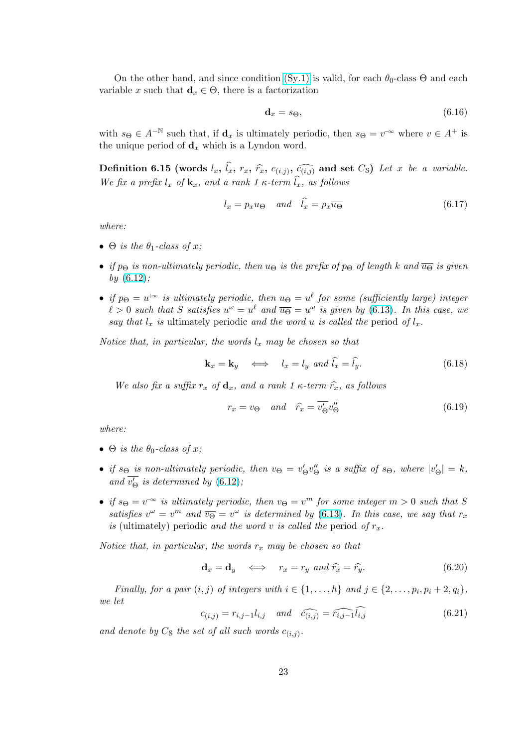<span id="page-22-0"></span>On the other hand, and since condition  $(Sy.1)$  is valid, for each  $\theta_0$ -class  $\Theta$  and each variable x such that  $\mathbf{d}_x \in \Theta$ , there is a factorization

$$
\mathbf{d}_x = s_{\Theta},\tag{6.16}
$$

with  $s_{\Theta} \in A^{-\mathbb{N}}$  such that, if  $\mathbf{d}_x$  is ultimately periodic, then  $s_{\Theta} = v^{-\infty}$  where  $v \in A^+$  is the unique period of  $\mathbf{d}_x$  which is a Lyndon word.

Definition 6.15 (words  $l_x$ ,  $\widehat{l}_x$ ,  $r_x$ ,  $\widehat{r}_x$ ,  $c_{(i,j)}$ ,  $\widehat{c_{(i,j)}}$  and set  $C_8$ ) Let x be a variable. We fix a prefix  $l_x$  of  $\mathbf{k}_x$ , and a rank 1  $\kappa$ -term  $\widehat{l}_x$ , as follows

$$
l_x = p_x u_{\Theta} \quad and \quad \hat{l}_x = p_x \overline{u_{\Theta}} \tag{6.17}
$$

where:

- $\Theta$  is the  $\theta_1$ -class of x;
- if  $p_{\Theta}$  is non-ultimately periodic, then  $u_{\Theta}$  is the prefix of  $p_{\Theta}$  of length k and  $\overline{u_{\Theta}}$  is given by  $(6.12)$ ;
- if  $p_{\Theta} = u^{\phi}$  is ultimately periodic, then  $u_{\Theta} = u^{\ell}$  for some (sufficiently large) integer  $\ell > 0$  such that S satisfies  $u^{\omega} = u^{\ell}$  and  $\overline{u_{\Theta}} = u^{\omega}$  is given by (6.13). In this case, we say [that](#page-20-0)  $l_x$  is ultimately periodic and the word u is called the period of  $l_x$ .

Notice that, in particular, the words  $l_x$  may be chosen so that

$$
\mathbf{k}_x = \mathbf{k}_y \quad \Longleftrightarrow \quad l_x = l_y \text{ and } \hat{l}_x = \hat{l}_y. \tag{6.18}
$$

We also fix a suffix  $r_x$  of  $\mathbf{d}_x$ , and a rank 1  $\kappa$ -term  $\hat{r}_x$ , as follows

$$
r_x = v_\Theta \quad and \quad \hat{r_x} = \overline{v'_\Theta} v''_\Theta \tag{6.19}
$$

where:

- $\Theta$  is the  $\theta_0$ -class of x;
- if  $s_{\Theta}$  is non-ultimately periodic, then  $v_{\Theta} = v_{\Theta}'v_{\Theta}''$  is a suffix of  $s_{\Theta}$ , where  $|v_{\Theta}'| = k$ , and  $\overline{v'_\Theta}$  is determined by (6.12);
- if  $s_{\Theta} = v^{\infty}$  is ultimately periodic, then  $v_{\Theta} = v^m$  for some integer  $m > 0$  such that S satisfies  $v^{\omega} = v^{m}$  and  $\overline{v_{\Theta}} = v^{\omega}$  is determined by (6.13). In this case, we say that  $r_{x}$ is (ultimately) periodic a[nd the](#page-20-0) word v is called the period of  $r_x$ .

Notice that, in particular, the words  $r_x$  may be chosen so that

$$
\mathbf{d}_x = \mathbf{d}_y \iff r_x = r_y \text{ and } \hat{r}_x = \hat{r}_y. \tag{6.20}
$$

Finally, for a pair  $(i, j)$  of integers with  $i \in \{1, \ldots, h\}$  and  $j \in \{2, \ldots, p_i, p_i + 2, q_i\}$ , we let

$$
c_{(i,j)} = r_{i,j-1}l_{i,j} \quad and \quad \widehat{c_{(i,j)}} = \widehat{r_{i,j-1}l_{i,j}} \tag{6.21}
$$

and denote by  $C_8$  the set of all such words  $c_{(i,j)}$ .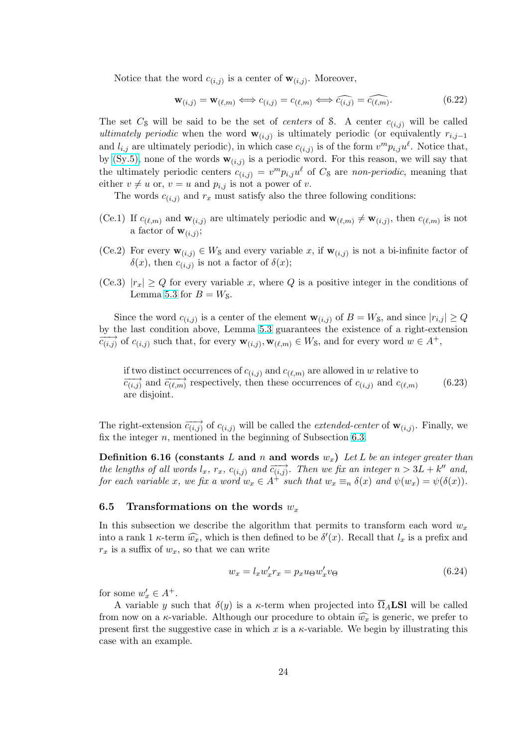<span id="page-23-0"></span>Notice that the word  $c_{(i,j)}$  is a center of  $\mathbf{w}_{(i,j)}$ . Moreover,

$$
\mathbf{w}_{(i,j)} = \mathbf{w}_{(\ell,m)} \iff c_{(i,j)} = c_{(\ell,m)} \iff \widehat{c_{(i,j)}} = \widehat{c_{(\ell,m)}}. \tag{6.22}
$$

The set  $C_8$  will be said to be the set of *centers* of S. A center  $c_{(i,j)}$  will be called ultimately periodic when the word  $\mathbf{w}_{(i,j)}$  is ultimately periodic (or equivalently  $r_{i,j-1}$ and  $l_{i,j}$  are ultimately periodic), in which case  $c_{(i,j)}$  is of the form  $v^m p_{i,j} u^{\ell}$ . Notice that, by (Sy.5), none of the words  $\mathbf{w}_{(i,j)}$  is a periodic word. For this reason, we will say that the ultimately periodic centers  $c_{(i,j)} = v^m p_{i,j} u^{\ell}$  of  $C_8$  are non-periodic, meaning that either  $v \neq u$  or,  $v = u$  and  $p_{i,j}$  is not a power of v.

[The w](#page-18-0)ords  $c_{(i,j)}$  and  $r_x$  must satisfy also the three following conditions:

- (Ce.1) If  $c_{(\ell,m)}$  and  $\mathbf{w}_{(i,j)}$  are ultimately periodic and  $\mathbf{w}_{(\ell,m)} \neq \mathbf{w}_{(i,j)}$ , then  $c_{(\ell,m)}$  is not a factor of  $\mathbf{w}_{(i,j)}$ ;
- (Ce.2) For every  $\mathbf{w}_{(i,j)} \in W_{\mathcal{S}}$  and every variable x, if  $\mathbf{w}_{(i,j)}$  is not a bi-infinite factor of  $\delta(x)$ , then  $c_{(i,j)}$  is not a factor of  $\delta(x)$ ;
- (Ce.3)  $|r_x| \geq Q$  for every variable x, where Q is a positive integer in the conditions of Lemma 5.3 for  $B = W_{\mathcal{S}}$ .

Since the word  $c_{(i,j)}$  is a center of the element  $\mathbf{w}_{(i,j)}$  of  $B = W_{\mathcal{S}}$ , and since  $|r_{i,j}| \geq Q$ by the last condition above, Lemma 5.3 guarantees the existence of a right-extension  $\overrightarrow{c_{(i,j)}}$  of  $c_{(i,j)}$  su[ch t](#page-9-0)hat, for every  $\mathbf{w}_{(i,j)}, \mathbf{w}_{(\ell,m)} \in W$ s, and for every word  $w \in A^+,$ 

if two distinct occurrences of  $c_{(i,j)}$  [an](#page-9-0)d  $c_{(\ell,m)}$  are allowed in w relative to  $\overrightarrow{c_{(i,j)}}$  and  $\overrightarrow{c_{(\ell,m)}}$  respectively, then these occurrences of  $c_{(i,j)}$  and  $c_{(\ell,m)}$ are disjoint. (6.23)

The right-extension  $\overrightarrow{c_{(i,j)}}$  of  $c_{(i,j)}$  will be called the *extended-center* of  $\mathbf{w}_{(i,j)}$ . Finally, we fix the integer  $n$ , mentioned in the beginning of Subsection 6.3.

**Definition 6.16 (constants** L and n and words  $w_x$ ) Let L be an integer greater than the lengths of all words  $l_x$ ,  $r_x$ ,  $c_{(i,j)}$  and  $\overrightarrow{c_{(i,j)}}$ . Then we fix an integer  $n > 3L + k''$  and, for each variable x, we fix a word  $w_x \in A^+$  such that  $w_x \equiv_n \delta(x)$  and  $\psi(w_x) = \psi(\delta(x))$ .

## 6.5 Transformations on the words  $w_x$

In this subsection we describe the algorithm that permits to transform each word  $w_x$ into a rank 1  $\kappa$ -term  $\widehat{w_x}$ , which is then defined to be  $\delta'(x)$ . Recall that  $l_x$  is a prefix and  $r_x$  is a suffix of  $w_x$ , so that we can write

$$
w_x = l_x w'_x r_x = p_x u_\Theta w'_x v_\Theta \tag{6.24}
$$

for some  $w'_x \in A^+$ .

A variable y such that  $\delta(y)$  is a  $\kappa$ -term when projected into  $\overline{\Omega}_A$ **LSI** will be called from now on a  $\kappa$ -variable. Although our procedure to obtain  $\widehat{w_x}$  is generic, we prefer to present first the suggestive case in which x is a  $\kappa$ -variable. We begin by illustrating this case with an example.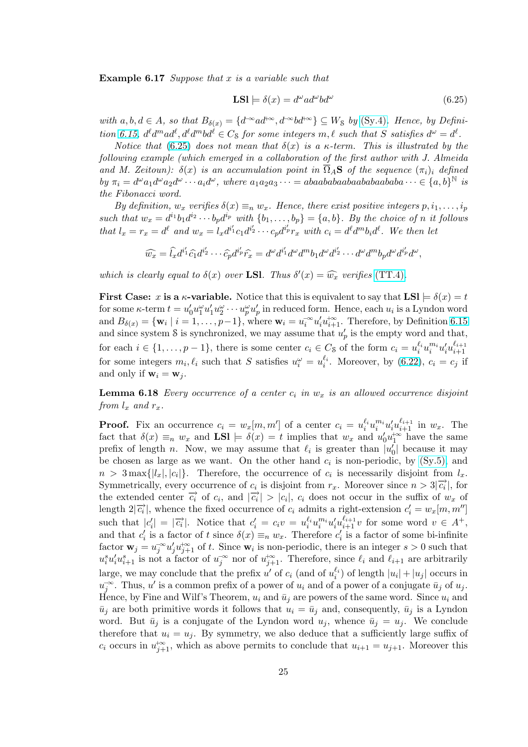**Example 6.17** Suppose that x is a variable such that

$$
LSl \models \delta(x) = d^{\omega}ad^{\omega}bd^{\omega} \tag{6.25}
$$

with  $a, b, d \in A$ , so that  $B_{\delta(x)} = \{d^{\infty}ad^{\infty}, d^{\infty}bd^{\infty}\} \subseteq W_{\delta}$  by (Sy.4). Hence, by Definition 6.15,  $d^{\ell}d^{m}ad^{\ell}, d^{\ell}d^{m}bd^{\ell} \in C_{S}$  for some integers  $m, \ell$  such that S satisfies  $d^{\omega} = d^{\ell}$ .

Notice that (6.25) does not mean that  $\delta(x)$  is a  $\kappa$ -term. This is illustrated by the following example (which emerged in a collaboration of the first author with J. Almeida and M. Zeitoun):  $\delta(x)$  is an accumulation point in  $\overline{\Omega}_A$ **S** of [the seq](#page-18-0)uence  $(\pi_i)_i$  defined by  $\pi_i = d^{\omega} a_1 d^{\omega} a_2 d^{\omega} \cdots a_i d^{\omega}$  $\pi_i = d^{\omega} a_1 d^{\omega} a_2 d^{\omega} \cdots a_i d^{\omega}$  $\pi_i = d^{\omega} a_1 d^{\omega} a_2 d^{\omega} \cdots a_i d^{\omega}$ , where  $a_1 a_2 a_3 \cdots = abaababaabaabaabaabaaba \cdots \in \{a, b\}^{\mathbb{N}}$  is the Fibonacci word.

By definition,  $w_x$  verifies  $\delta(x) \equiv_n w_x$ . Hence, there exist positive integers  $p, i_1, \ldots, i_p$ such that  $w_x = d^{i_1}b_1d^{i_2}\cdots b_pd^{i_p}$  with  $\{b_1,\ldots,b_p\} = \{a,b\}$ . By the choice of n it follows that  $l_x = r_x = d^{\ell}$  and  $w_x = l_x d^{i'_1} c_1 d^{i'_2} \cdots c_p d^{i'_p} r_x$  with  $c_i = d^{\ell} d^{m} b_i d^{\ell}$ . We then let

$$
\widehat{w_x} = \widehat{l_x} d^{i'_1} \widehat{c_1} d^{i'_2} \cdots \widehat{c_p} d^{i'_p} \widehat{r_x} = d^\omega d^{i'_1} d^\omega d^m b_1 d^\omega d^{i'_2} \cdots d^\omega d^m b_p d^\omega d^{i'_p} d^\omega,
$$

which is clearly equal to  $\delta(x)$  over LSI. Thus  $\delta'(x) = \widehat{w_x}$  verifies (TT.4).

**First Case:** x is a  $\kappa$ -variable. Notice that this is equivalent to say that  $LSl \models \delta(x) = t$ for some  $\kappa$ -term  $t = u'_0 u_1^\omega u'_1 u_2^\omega \cdots u_p^\omega u'_p$  in reduced form. Hence, each  $u_i$  is a Lyndon word and  $B_{\delta(x)} = \{\mathbf{w}_i \mid i = 1, \ldots, p-1\}$ , where  $\mathbf{w}_i = u_i^{-\infty} u_i' u_{i+1}^{+\infty}$ . There[fore, by](#page-18-0) Definition 6.15 and since system S is synchronized, we may assume that  $u'_p$  is the empty word and that, for each  $i \in \{1, \ldots, p-1\}$ , there is some center  $c_i \in C_8$  of the form  $c_i = u_i^{\ell_i} u_i^{m_i} u_i^{\ell_i} u_{i+1}^{\ell_{i+1}}$  $i+1$ for some integers  $m_i, \ell_i$  such that S satisfies  $u_i^{\omega} = u_i^{\ell_i}$ . Moreover, by (6.22),  $c_i = c_j$  [if](#page-22-0) and only if  $\mathbf{w}_i = \mathbf{w}_j$ .

**Lemma 6.18** Every occurrence of a center  $c_i$  in  $w_x$  is an allowed occurrence disjoint from  $l_x$  and  $r_x$ .

**Proof.** Fix an occurrence  $c_i = w_x[m,m']$  of a center  $c_i = u_i^{\ell_i} u_i^{m_i} u_i^{\ell_i} u_{i+1}^{\ell_{i+1}}$  in  $w_x$ . The fact that  $\delta(x) \equiv_n w_x$  and  $LSl \models \delta(x) = t$  implies that  $w_x$  and  $u'_0 u_1^{+\infty}$  have the same prefix of length n. Now, we may assume that  $\ell_i$  is greater than  $|u'_0|$  because it may be chosen as large as we want. On the other hand  $c_i$  is non-periodic, by (Sy.5), and  $n > 3$  max $\{|l_x|, |c_i|\}$ . Therefore, the occurrence of  $c_i$  is necessarily disjoint from  $l_x$ . Symmetrically, every occurrence of  $c_i$  is disjoint from  $r_x$ . Moreover since  $n > 3|\vec{c_i}|$ , for the extended center  $\overrightarrow{c_i}$  of  $c_i$ , and  $|\overrightarrow{c_i}| > |c_i|$ ,  $c_i$  does not occur in the suffix of  $w_x$  of length  $2|\overrightarrow{c_i}|$ , whence the fixed occurrence of  $c_i$  ad[m](#page-18-0)its a right-extension  $c'_i = w_x[m, m'']$ such that  $|c'_i| = |\overrightarrow{c_i}|$ . Notice that  $c'_i = c_i v = u_i^{\ell_i} u_i^{m_i} u'_i u_{i+1}^{\ell_{i+1}} v$  for some word  $v \in A^+,$ and that  $c_i'$  is a factor of t since  $\delta(x) \equiv_n w_x$ . Therefore  $c_i'$  is a factor of some bi-infinite factor  $\mathbf{w}_j = u_j^{\infty} u'_j u_{j+1}^{\infty}$  of t. Since  $\mathbf{w}_i$  is non-periodic, there is an integer  $s > 0$  such that  $u_i^s u_i' u_{i+1}^s$  is not a factor of  $u_j^{\infty}$  nor of  $u_{j+1}^{\infty}$ . Therefore, since  $\ell_i$  and  $\ell_{i+1}$  are arbitrarily large, we may conclude that the prefix  $u'$  of  $c_i$  (and of  $u_i^{(\ell)}$ ) of length  $|u_i| + |u_j|$  occurs in  $u_j^{\infty}$ . Thus, u' is a common prefix of a power of  $u_i$  and of a power of a conjugate  $\bar{u}_j$  of  $u_j$ . Hence, by Fine and Wilf's Theorem,  $u_i$  and  $\bar{u}_j$  are powers of the same word. Since  $u_i$  and  $\bar{u}_j$  are both primitive words it follows that  $u_i = \bar{u}_j$  and, consequently,  $\bar{u}_j$  is a Lyndon word. But  $\bar{u}_j$  is a conjugate of the Lyndon word  $u_j$ , whence  $\bar{u}_j = u_j$ . We conclude therefore that  $u_i = u_j$ . By symmetry, we also deduce that a sufficiently large suffix of  $c_i$  occurs in  $u_{j+1}^{\dagger\infty}$ , which as above permits to conclude that  $u_{i+1} = u_{j+1}$ . Moreover this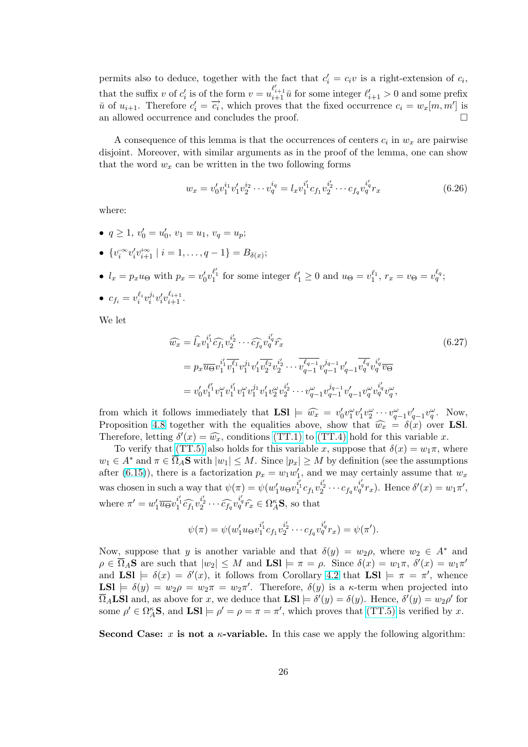<span id="page-25-0"></span>permits also to deduce, together with the fact that  $c_i' = c_i v$  is a right-extension of  $c_i$ , that the suffix v of  $c'_i$  is of the form  $v = u_{i+1}^{\ell'_{i+1}} \bar{u}$  for some integer  $\ell'_{i+1} > 0$  and some prefix  $\overline{u}$  of  $u_{i+1}$ . Therefore  $c_i' = \overline{c_i}$ , which proves that the fixed occurrence  $c_i = w_x[m, m']$  is an allowed occurrence and concludes the proof.  $\Box$ 

A consequence of this lemma is that the occurrences of centers  $c_i$  in  $w_x$  are pairwise disjoint. Moreover, with similar arguments as in the proof of the lemma, one can show that the word  $w_x$  can be written in the two following forms

$$
w_x = v'_0 v_1^{i_1} v'_1 v_2^{i_2} \cdots v_q^{i_q} = l_x v_1^{i'_1} c_{f_1} v_2^{i'_2} \cdots c_{f_q} v_q^{i'_q} r_x \tag{6.26}
$$

where:

- $q \ge 1$ ,  $v'_0 = u'_0$ ,  $v_1 = u_1$ ,  $v_q = u_p$ ;
- $\{v_i^{\infty}v'_iv_{i+1}^{\infty} \mid i=1,\ldots,q-1\} = B_{\delta(x)};$
- $l_x = p_x u_{\Theta}$  with  $p_x = v'_0 v_1^{\ell'_1}$  for some integer  $\ell'_1 \geq 0$  and  $u_{\Theta} = v_1^{\ell_1}$ ,  $r_x = v_{\Theta} = v_q^{\ell_q}$ ;
- $c_{f_i} = v_i^{\ell_i} v_i^{j_i} v_i' v_{i+1}^{\ell_{i+1}}.$

We let

$$
\widehat{w_x} = \widehat{l_x} v_1^{i'_1} \widehat{c_{f_1}} v_2^{i'_2} \cdots \widehat{c_{f_q}} v_q^{i'_q} \widehat{r_x}
$$
\n
$$
= p_x \overline{u_{\Theta}} v_1^{i'_1} \overline{v_1^{i_1}} v_1^{j_1} v_1^{j_1} \overline{v_2^{i_2}} v_2^{i'_2} \cdots \overline{v_{q-1}^{i_{q-1}}} v_{q-1}^{j_{q-1}} v_{q-1}^{j_{q}} \overline{v_q^{i_q}} v_q^{i'_q} \overline{v_{\Theta}}
$$
\n
$$
= v_0' v_1^{\ell'_1} v_1^{\omega} v_1^{i'_1} v_1^{\omega} v_1^{j_1} v_1^{j_1} v_2^{\omega} v_2^{i'_2} \cdots v_{q-1}^{\omega} v_{q-1}^{j_{q-1}} v_{q-1}^{j_{q}} v_q^{\omega} v_q^{i'_q} v_q^{\omega},
$$
\n(6.27)

from which it follows immediately that  $LSl \models \widehat{w_x} = v'_0v''_1v'_1v''_2\cdots v''_{q-1}v'_{q-1}v''_q$ . Now, Proposition 4.8 together with the equalities above, show that  $\widehat{w_x} = \delta(x)$  over LSl. Therefore, letting  $\delta'(x) = \widehat{w_x}$ , conditions (TT.1) to (TT.4) hold for this variable x.

To verify that (TT.5) also holds for this variable x, suppose that  $\delta(x) = w_1 \pi$ , where  $w_1 \in A^*$  and  $\pi \in \overline{\Omega}_A$ **S** with  $|w_1| \leq M$ . Since  $|p_x| \geq M$  by definition (see the assumptions after (6.15))[, the](#page-8-0)re is a factorization  $p_x = w_1 w_1'$ , and we may certainly assume that  $w_x$ was chosen in suc[h a way t](#page-18-0)hat  $\psi(\pi) = \psi(w'_1 u_{\Theta} v_1^{\hat{i}'_1} c_{f_1} v_2^{\hat{i}'_2} \cdots c_{f_q} v_q^{\hat{i}'_q} r_x)$  $\psi(\pi) = \psi(w'_1 u_{\Theta} v_1^{\hat{i}'_1} c_{f_1} v_2^{\hat{i}'_2} \cdots c_{f_q} v_q^{\hat{i}'_q} r_x)$  $\psi(\pi) = \psi(w'_1 u_{\Theta} v_1^{\hat{i}'_1} c_{f_1} v_2^{\hat{i}'_2} \cdots c_{f_q} v_q^{\hat{i}'_q} r_x)$ . Hence  $\delta'(x) = w_1 \pi'$ , where  $\pi' = w'_1 \overline{u_{\Theta}} v_1^{i'_1} \widehat{c_{f_1}} v_2^{i'_2} \cdots \widehat{c_{f_q}} v_q^{i'_q} \widehat{r_x} \in \Omega_A^{\kappa} \mathbf{S}$ , so that

$$
\psi(\pi) = \psi(w_1' u_{\Theta} v_1^{i'_1} c_{f_1} v_2^{i'_2} \cdots c_{f_q} v_q^{i'_q} r_x) = \psi(\pi').
$$

Now, suppose that y is another variable and that  $\delta(y) = w_2 \rho$ , where  $w_2 \in A^*$  and  $\rho \in \overline{\Omega}_A$ **S** are such that  $|w_2| \leq M$  and **LSI**  $\models \pi = \rho$ . Since  $\delta(x) = w_1 \pi$ ,  $\delta'(x) = w_1 \pi'$ and  $LSI = \delta(x) = \delta'(x)$ , it follows from Corollary 4.2 that  $LSI = \pi = \pi'$ , whence LSI  $\models \delta(y) = w_2 \rho = w_2 \pi = w_2 \pi'$ . Therefore,  $\delta(y)$  is a  $\kappa$ -term when projected into  $\overline{\Omega}_A$ **LSl** and, as above for x, we deduce that **LSl**  $\models \delta'(y) = \delta(y)$ . Hence,  $\delta'(y) = w_2 \rho'$  for some  $\rho' \in \Omega_A^{\kappa}$ **S**, and **LSl**  $\models \rho' = \rho = \pi = \pi'$ , which pr[oves](#page-7-0) that (TT.5) is verified by x.

Second Case: x is not a  $\kappa$ -variable. In this case we apply the following algorithm: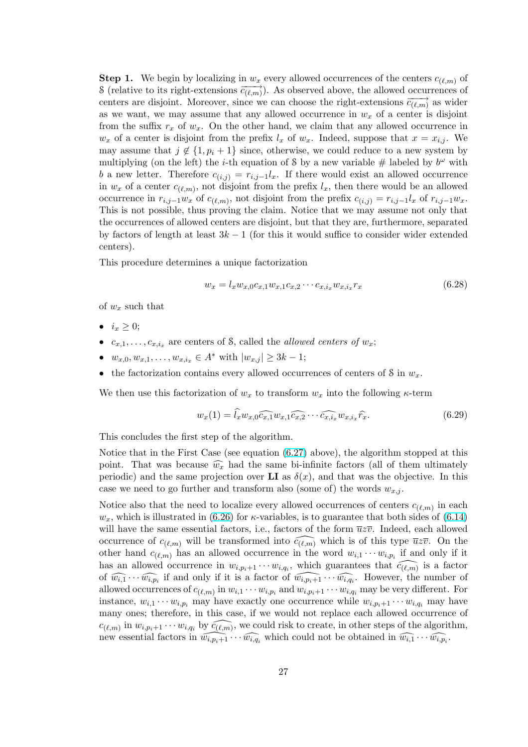<span id="page-26-0"></span>**Step 1.** We begin by localizing in  $w_x$  every allowed occurrences of the centers  $c_{(\ell,m)}$  of S (relative to its right-extensions  $\overrightarrow{c_{(\ell,m)}}$ ). As observed above, the allowed occurrences of centers are disjoint. Moreover, since we can choose the right-extensions  $\overline{c_{(\ell,m)}}$  as wider as we want, we may assume that any allowed occurrence in  $w_x$  of a center is disjoint from the suffix  $r_x$  of  $w_x$ . On the other hand, we claim that any allowed occurrence in  $w_x$  of a center is disjoint from the prefix  $l_x$  of  $w_x$ . Indeed, suppose that  $x = x_{i,j}$ . We may assume that  $j \notin \{1, p_i + 1\}$  since, otherwise, we could reduce to a new system by multiplying (on the left) the *i*-th equation of S by a new variable  $\#$  labeled by  $b^{\omega}$  with b a new letter. Therefore  $c_{(i,j)} = r_{i,j-1}l_x$ . If there would exist an allowed occurrence in  $w_x$  of a center  $c_{(\ell,m)}$ , not disjoint from the prefix  $l_x$ , then there would be an allowed occurrence in  $r_{i,j-1}w_x$  of  $c_{(\ell,m)}$ , not disjoint from the prefix  $c_{(i,j)} = r_{i,j-1}l_x$  of  $r_{i,j-1}w_x$ . This is not possible, thus proving the claim. Notice that we may assume not only that the occurrences of allowed centers are disjoint, but that they are, furthermore, separated by factors of length at least  $3k - 1$  (for this it would suffice to consider wider extended centers).

This procedure determines a unique factorization

$$
w_x = l_x w_{x,0} c_{x,1} w_{x,1} c_{x,2} \cdots c_{x,i_x} w_{x,i_x} r_x \tag{6.28}
$$

of  $w_x$  such that

- $i_x \geq 0;$
- $c_{x,1}, \ldots, c_{x,i_x}$  are centers of S, called the *allowed centers of*  $w_x$ ;
- $w_{x,0}, w_{x,1}, \ldots, w_{x,i_x} \in A^*$  with  $|w_{x,j}| \geq 3k-1$ ;
- the factorization contains every allowed occurrences of centers of  $S$  in  $w_x$ .

We then use this factorization of  $w_x$  to transform  $w_x$  into the following  $\kappa$ -term

$$
w_x(1) = \widehat{l}_x w_{x,0} \widehat{c_{x,1}} w_{x,1} \widehat{c_{x,2}} \cdots \widehat{c_{x,i_x}} w_{x,i_x} \widehat{r}_x.
$$
\n
$$
(6.29)
$$

This concludes the first step of the algorithm.

Notice that in the First Case (see equation (6.27) above), the algorithm stopped at this point. That was because  $\widehat{w_x}$  had the same bi-infinite factors (all of them ultimately periodic) and the same projection over **LI** as  $\delta(x)$ , and that was the objective. In this case we need to go further and transform also (some of) the words  $w_{x,j}$ .

Notice also that the need to localize every [allowe](#page-25-0)d occurrences of centers  $c_{(\ell,m)}$  in each  $w_x$ , which is illustrated in (6.26) for *κ*-variables, is to guarantee that both sides of (6.14) will have the same essential factors, i.e., factors of the form  $\overline{u}z\overline{v}$ . Indeed, each allowed occurrence of  $c_{(\ell,m)}$  will be transformed into  $\widehat{c_{(\ell,m)}}$  which is of this type  $\overline{u}z\overline{v}$ . On the other hand  $c_{(\ell,m)}$  has an allowed occurrence in the word  $w_{i,1} \cdots w_{i,p_i}$  if and only if it has an allowed occurrenc[e in](#page-25-0)  $w_{i,p_i+1}\cdots w_{i,q_i}$ , which guarantees that  $\widehat{c_{(\ell,m)}}$  is a [factor](#page-21-0) of  $\widehat{w_{i,1}} \cdots \widehat{w_{i,p_i}}$  if and only if it is a factor of  $\widehat{w_{i,p_i+1}} \cdots \widehat{w_{i,q_i}}$ . However, the number of allowed occurrences of  $c_{(\ell,m)}$  in  $w_{i,1} \cdots w_{i,p_i}$  and  $w_{i,p_i+1} \cdots w_{i,q_i}$  may be very different. For instance,  $w_{i,1} \cdots w_{i,p_i}$  may have exactly one occurrence while  $w_{i,p_i+1} \cdots w_{i,q_i}$  may have many ones; therefore, in this case, if we would not replace each allowed occurrence of  $c_{(\ell,m)}$  in  $w_{i,p_i+1}\cdots w_{i,q_i}$  by  $\widehat{c_{(\ell,m)}}$ , we could risk to create, in other steps of the algorithm, new essential factors in  $\widehat{w_{i,p_i+1}} \cdots \widehat{w_{i,q_i}}$  which could not be obtained in  $\widehat{w_{i,1}} \cdots \widehat{w_{i,p_i}}$ .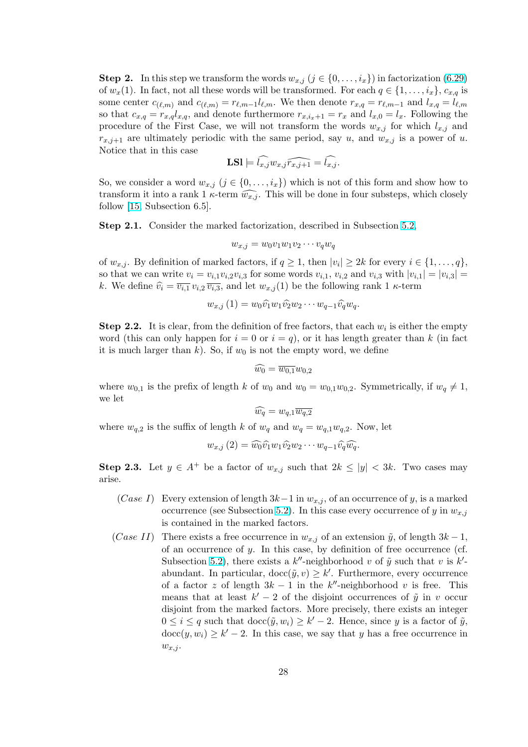**Step 2.** In this step we transform the words  $w_{x,j}$   $(j \in \{0, \ldots, i_x\})$  in factorization (6.29) of  $w_x(1)$ . In fact, not all these words will be transformed. For each  $q \in \{1, \ldots, i_x\}$ ,  $c_{x,q}$  is some center  $c_{(\ell,m)}$  and  $c_{(\ell,m)} = r_{\ell,m-1}l_{\ell,m}$ . We then denote  $r_{x,q} = r_{\ell,m-1}$  and  $l_{x,q} = l_{\ell,m}$ so that  $c_{x,q} = r_{x,q}l_{x,q}$ , and denote furthermore  $r_{x,i_x+1} = r_x$  and  $l_{x,0} = l_x$ . Following the procedure of the First Case, we will not transform the words  $w_{x,j}$  for which  $l_{x,j}$  [and](#page-26-0)  $r_{x,j+1}$  are ultimately periodic with the same period, say u, and  $w_{x,j}$  is a power of u. Notice that in this case

$$
\textbf{LSl} \models \widehat{l_{x,j}} w_{x,j} \widehat{r_{x,j+1}} = \widehat{l_{x,j}}.
$$

So, we consider a word  $w_{x,j}$   $(j \in \{0, \ldots, i_x\})$  which is not of this form and show how to transform it into a rank 1  $\kappa$ -term  $\widehat{w_{x,j}}$ . This will be done in four substeps, which closely follow [15, Subsection 6.5].

Step 2.1. Consider the marked factorization, described in Subsection 5.2,

$$
w_{x,j} = w_0 v_1 w_1 v_2 \cdots v_q w_q
$$

of  $w_{x,j}$ . By definition of marked factors, if  $q \geq 1$ , then  $|v_i| \geq 2k$  for every  $i \in \{1, \ldots, q\}$ , so that we can write  $v_i = v_{i,1}v_{i,2}v_{i,3}$  $v_i = v_{i,1}v_{i,2}v_{i,3}$  for some words  $v_{i,1}, v_{i,2}$  and  $v_{i,3}$  with  $|v_{i,1}| = |v_{i,3}| =$ k. We define  $\widehat{v_i} = \overline{v_{i,1}} v_{i,2} \overline{v_{i,3}}$ , and let  $w_{x,j}(1)$  be the following rank 1  $\kappa$ -term

$$
w_{x,j}(1) = w_0 \widehat{v_1} w_1 \widehat{v_2} w_2 \cdots w_{q-1} \widehat{v_q} w_q.
$$

**Step 2.2.** It is clear, from the definition of free factors, that each  $w_i$  is either the empty word (this can only happen for  $i = 0$  or  $i = q$ ), or it has length greater than k (in fact it is much larger than k). So, if  $w_0$  is not the empty word, we define

$$
\widehat{w_0} = \overline{w_{0,1}} w_{0,2}
$$

where  $w_{0,1}$  is the prefix of length k of  $w_0$  and  $w_0 = w_{0,1}w_{0,2}$ . Symmetrically, if  $w_q \neq 1$ , we let

$$
\widehat{w_q}=w_{q,1}\overline{w_{q,2}}
$$

where  $w_{q,2}$  is the suffix of length k of  $w_q$  and  $w_q = w_{q,1}w_{q,2}$ . Now, let

$$
w_{x,j}(2) = \widehat{w_0}\widehat{v_1}w_1\widehat{v_2}w_2\cdots w_{q-1}\widehat{v_q}\widehat{w_q}.
$$

Step 2.3. Let  $y \in A^+$  be a factor of  $w_{x,j}$  such that  $2k \le |y| < 3k$ . Two cases may arise.

- (Case I) Every extension of length  $3k-1$  in  $w_{x,j}$ , of an occurrence of y, is a marked occurrence (see Subsection 5.2). In this case every occurrence of y in  $w_{x,j}$ is contained in the marked factors.
- (Case II) There exists a free occurrence in  $w_{x,j}$  of an extension  $\tilde{y}$ , of length  $3k-1$ , of an occurrence of  $y$ . In [this](#page-9-0) case, by definition of free occurrence (cf. Subsection 5.2), there exists a  $k''$ -neighborhood v of  $\tilde{y}$  such that v is  $k'$ abundant. In particular,  $\text{doc}(\tilde{y}, v) \geq k'$ . Furthermore, every occurrence of a factor z of length  $3k - 1$  in the k''-neighborhood v is free. This means that at least  $k'-2$  of the disjoint occurrences of  $\tilde{y}$  in v occur disjoint fro[m th](#page-9-0)e marked factors. More precisely, there exists an integer  $0 \leq i \leq q$  such that  $\text{doc}(\tilde{y}, w_i) \geq k'-2$ . Hence, since y is a factor of  $\tilde{y}$ ,  $\mathrm{doc}(y, w_i) \geq k' - 2$ . In this case, we say that y has a free occurrence in  $w_{x,j}$ .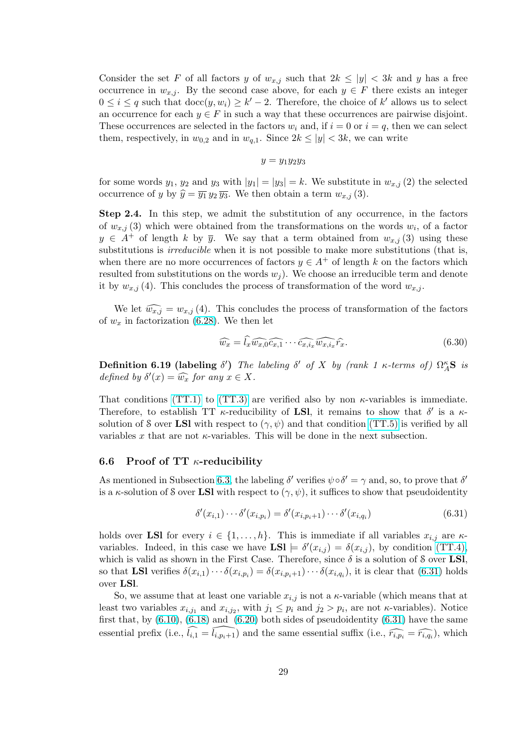<span id="page-28-0"></span>Consider the set F of all factors y of  $w_{x,j}$  such that  $2k \leq |y| < 3k$  and y has a free occurrence in  $w_{x,j}$ . By the second case above, for each  $y \in F$  there exists an integer  $0 \leq i \leq q$  such that  $\text{doc}(y, w_i) \geq k'-2$ . Therefore, the choice of k' allows us to select an occurrence for each  $y \in F$  in such a way that these occurrences are pairwise disjoint. These occurrences are selected in the factors  $w_i$  and, if  $i = 0$  or  $i = q$ , then we can select them, respectively, in  $w_{0,2}$  and in  $w_{q,1}$ . Since  $2k \leq |y| < 3k$ , we can write

$$
y=y_1y_2y_3
$$

for some words  $y_1, y_2$  and  $y_3$  with  $|y_1| = |y_3| = k$ . We substitute in  $w_{x,j}(2)$  the selected occurrence of y by  $\hat{y} = \overline{y_1} y_2 \overline{y_3}$ . We then obtain a term  $w_{x,j}$  (3).

Step 2.4. In this step, we admit the substitution of any occurrence, in the factors of  $w_{x,j}$  (3) which were obtained from the transformations on the words  $w_i$ , of a factor  $y \in A^+$  of length k by  $\overline{y}$ . We say that a term obtained from  $w_{x,j}$  (3) using these substitutions is *irreducible* when it is not possible to make more substitutions (that is, when there are no more occurrences of factors  $y \in A^+$  of length k on the factors which resulted from substitutions on the words  $w<sub>i</sub>$ ). We choose an irreducible term and denote it by  $w_{x,j}(4)$ . This concludes the process of transformation of the word  $w_{x,j}$ .

We let  $\widehat{w_{x,j}} = w_{x,j}$  (4). This concludes the process of transformation of the factors of  $w_x$  in factorization (6.28). We then let

$$
\widehat{w_x} = \widehat{l_x w_{x,0} c_{x,1}} \cdots \widehat{c_{x,i_x} w_{x,i_x}} \widehat{r_x}.
$$
\n(6.30)

**Definition 6.19 (lab[eling](#page-26-0)**  $\delta'$ ) The labeling  $\delta'$  of X by (rank 1 κ-terms of)  $\Omega_A^{\kappa}$ **S** is defined by  $\delta'(x) = \widehat{w_x}$  for any  $x \in X$ .

That conditions (TT.1) to (TT.3) are verified also by non  $\kappa$ -variables is immediate. Therefore, to establish TT  $\kappa$ -reducibility of LSI, it remains to show that  $\delta'$  is a  $\kappa$ solution of S over LSI with respect to  $(\gamma, \psi)$  and that condition (TT.5) is verified by all variables x that [are not](#page-18-0)  $\kappa$ -v[ariables.](#page-18-0) This will be done in the next subsection.

### 6.6 Proof of TT  $\kappa$ -reducibility

As mentioned in Subsection 6.3, the labeling  $\delta'$  verifies  $\psi \circ \delta' = \gamma$  and, so, to prove that  $\delta'$ is a  $\kappa$ -solution of S over LSI with respect to  $(\gamma, \psi)$ , it suffices to show that pseudoidentity

$$
\delta'(x_{i,1})\cdots\delta'(x_{i,p_i}) = \delta'(x_{i,p_i+1})\cdots\delta'(x_{i,q_i})\tag{6.31}
$$

holds over LSI for every  $i \in \{1, \ldots, h\}$ . This is immediate if all variables  $x_{i,j}$  are  $\kappa$ variables. Indeed, in this case we have  $\textbf{LSl} \models \delta'(x_{i,j}) = \delta(x_{i,j})$ , by condition (TT.4), which is valid as shown in the First Case. Therefore, since  $\delta$  is a solution of S over LSI, so that **LSI** verifies  $\delta(x_{i,1}) \cdots \delta(x_{i,p_i}) = \delta(x_{i,p_i+1}) \cdots \delta(x_{i,q_i})$ , it is clear that (6.31) holds over LSl.

So, we assume that at least one variable  $x_{i,j}$  is not a  $\kappa$ -variable (which mean[s that at](#page-18-0) least two variables  $x_{i,j_1}$  and  $x_{i,j_2}$ , with  $j_1 \leq p_i$  and  $j_2 > p_i$ , are not  $\kappa$ -variables). Notice first that, by  $(6.10)$ ,  $(6.18)$  and  $(6.20)$  both sides of pseudoidentity  $(6.31)$  have the same essential prefix (i.e.,  $\widehat{l_{i,1}} = \widehat{l_{i,p_i+1}}$ ) and the same essential suffix (i.e.,  $\widehat{r_{i,p_i}} = \widehat{r_{i,q_i}}$ ), which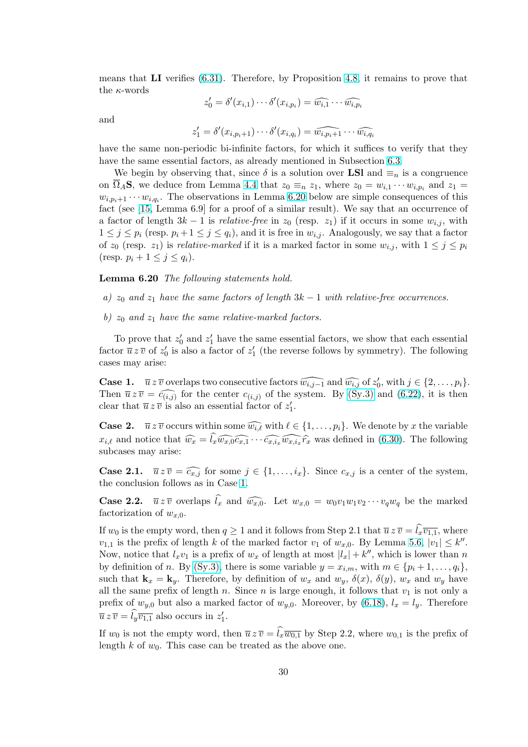means that LI verifies (6.31). Therefore, by Proposition 4.8, it remains to prove that the  $\kappa$ -words

$$
z_0' = \delta'(x_{i,1}) \cdots \delta'(x_{i,p_i}) = \widehat{w_{i,1}} \cdots \widehat{w_{i,p_i}}
$$

and

$$
z'_1 = \delta'(x_{i,p_i+1}) \cdots \delta'(x_{i,q_i}) = \widehat{w_{i,p_i+1}} \cdots \widehat{w_{i,q_i}}
$$

have the same non-periodic bi-infinite factors, for which it suffices to verify that they have the same essential factors, as already mentioned in Subsection 6.3.

We begin by observing that, since  $\delta$  is a solution over LSI and  $\equiv_n$  is a congruence on  $\overline{\Omega}_A$ **S**, we deduce from Lemma 4.4 that  $z_0 \equiv_n z_1$ , where  $z_0 = w_{i,1} \cdots w_{i,p_i}$  and  $z_1 =$  $w_{i,p_i+1} \cdots w_{i,q_i}$ . The observations in Lemma 6.20 below are simple consequences of this fact (see [15, Lemma 6.9] for a proof of a similar result). We say th[at a](#page-20-0)n occurrence of a factor of length  $3k - 1$  is *relative-free* in  $z_0$  (resp.  $z_1$ ) if it occurs in some  $w_{i,j}$ , with  $1 \leq j \leq p_i$  (resp.  $p_i + 1 \leq j \leq q_i$ ), [and](#page-7-0) it is free in  $w_{i,j}$ . Analogously, we say that a factor of  $z_0$  (resp.  $z_1$ ) is *relative-marked* if it is a marked factor in some  $w_{i,j}$ , with  $1 \leq j \leq p_i$ (resp.  $p_i + 1 \leq j \leq q_i$  $p_i + 1 \leq j \leq q_i$  $p_i + 1 \leq j \leq q_i$ ).

### Lemma 6.20 The following statements hold.

a)  $z_0$  and  $z_1$  have the same factors of length  $3k - 1$  with relative-free occurrences.

b)  $z_0$  and  $z_1$  have the same relative-marked factors.

To prove that  $z'_0$  and  $z'_1$  have the same essential factors, we show that each essential factor  $\bar{u}z\bar{v}$  of  $z'_0$  is also a factor of  $z'_1$  (the reverse follows by symmetry). The following cases may arise:

**Case 1.**  $\overline{u} z \overline{v}$  overlaps two consecutive factors  $\widehat{w_{i,j-1}}$  and  $\widehat{w_{i,j}}$  of  $z'_0$ , with  $j \in \{2, ..., p_i\}$ . Then  $\overline{u} \overline{z} \overline{v} = \widehat{c_{(i,j)}}$  for the center  $c_{(i,j)}$  of the system. By (Sy.3) and (6.22), it is then clear that  $\overline{u} z \overline{v}$  is also an essential factor of  $z_1'$ .

**Case 2.**  $\overline{u} z \overline{v}$  occurs within some  $\widehat{w_{i,\ell}}$  with  $\ell \in \{1, \ldots, p_i\}$ . We denote by x the variable  $x_{i,\ell}$  and notice that  $\widehat{w_x} = \widehat{l_x w_{x,0} c_{x,1}} \cdots \widehat{c_{x,i_x} w_{x,i_x} r_x}$  was de[fined in](#page-18-0) (6.30[\). Th](#page-23-0)e following subcases may arise:

**Case 2.1.**  $\overline{u} \overline{z} \overline{v} = \widehat{c_{x,j}}$  for some  $j \in \{1, \ldots, i_x\}$ . Since  $c_{x,j}$  is a center of the system, the conclusion follows as in Case 1.

**Case 2.2.**  $\overline{u} \overline{z} \overline{v}$  overlaps  $\widehat{l}_x$  and  $\widehat{w_{x,0}}$ . Let  $w_{x,0} = w_0v_1w_1v_2\cdots v_qw_q$  be the marked factorization of  $w_{x,0}$ .

If  $w_0$  is the empty word, then  $q \geq 1$  and it follows from Step 2.1 that  $\overline{u} z \overline{v} = \hat{i}_x \overline{v_{1,1}}$ , where  $v_{1,1}$  is the prefix of length k of the marked factor  $v_1$  of  $w_{x,0}$ . By Lemma 5.6,  $|v_1| \leq k''$ . Now, notice that  $l_x v_1$  is a prefix of  $w_x$  of length at most  $|l_x| + k''$ , which is lower than n by definition of n. By (Sy.3), there is some variable  $y = x_{i,m}$ , with  $m \in \{p_i + 1, \ldots, q_i\}$ , such that  $\mathbf{k}_x = \mathbf{k}_y$ . Therefore, by definition of  $w_x$  and  $w_y$ ,  $\delta(x)$ ,  $\delta(y)$ ,  $w_x$  and  $w_y$  have all the same prefix of length n. Since n [is](#page-10-0) large enough, it follows that  $v_1$  is not only a prefix of  $w_{y,0}$  but also a marked factor of  $w_{y,0}$ . Moreover, by (6.18),  $l_x = l_y$ . Therefore  $\overline{u} z \overline{v} = \widehat{l}_y \overline{v_{1,1}}$  also occ[urs in](#page-18-0)  $z'_1$ .

If  $w_0$  is not the empty word, then  $\overline{u} z \overline{v} = \widehat{l}_x \overline{w_{0,1}}$  by Step 2.2, where  $w_{0,1}$  is the prefix of length k of  $w_0$ . This case can be treated as the above one.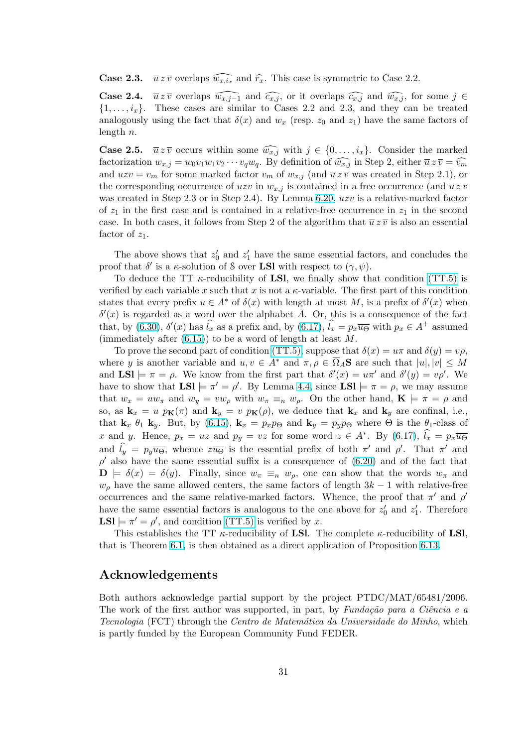**Case 2.3.**  $\overline{u} z \overline{v}$  overlaps  $\widehat{w_{x,i_x}}$  and  $\widehat{r_x}$ . This case is symmetric to Case 2.2.

**Case 2.4.**  $\overline{u} z \overline{v}$  overlaps  $\widehat{w_{x,j-1}}$  and  $\widehat{c_{x,j}}$ , or it overlaps  $\widehat{c_{x,j}}$  and  $\widehat{w_{x,j}}$ , for some  $j \in$  $\{1, \ldots, i_x\}.$  These cases are similar to Cases 2.2 and 2.3, and they can be treated analogously using the fact that  $\delta(x)$  and  $w_x$  (resp.  $z_0$  and  $z_1$ ) have the same factors of length  $n$ .

**Case 2.5.**  $\overline{u} z \overline{v}$  occurs within some  $\widehat{w_{x,j}}$  with  $j \in \{0, \ldots, i_x\}$ . Consider the marked factorization  $w_{x,j} = w_0v_1w_1v_2\cdots v_qw_q$ . By definition of  $\widehat{w_{x,j}}$  in Step 2, either  $\overline{u}z\,\overline{v} = \widehat{v_m}$ and  $uzv = v_m$  for some marked factor  $v_m$  of  $w_{x,j}$  (and  $\overline{u} z \overline{v}$  was created in Step 2.1), or the corresponding occurrence of uzv in  $w_{x,j}$  is contained in a free occurrence (and  $\overline{u} \overline{z} \overline{v}$ was created in Step 2.3 or in Step 2.4). By Lemma 6.20, uzv is a relative-marked factor of  $z_1$  in the first case and is contained in a relative-free occurrence in  $z_1$  in the second case. In both cases, it follows from Step 2 of the algorithm that  $\overline{u}z\overline{v}$  is also an essential factor of  $z_1$ .

The above shows that  $z'_0$  and  $z'_1$  have the same essential factors, and concludes the proof that  $\delta'$  is a  $\kappa$ -solution of S over **LSI** with respect to  $(\gamma, \psi)$ .

To deduce the TT  $\kappa$ -reducibility of LSI, we finally show that condition (TT.5) is verified by each variable x such that x is not a  $\kappa$ -variable. The first part of this condition states that every prefix  $u \in A^*$  of  $\delta(x)$  with length at most M, is a prefix of  $\delta'(x)$  when  $\delta'(x)$  is regarded as a word over the alphabet  $\overline{A}$ . Or, this is a consequence of the fact that, by (6.30),  $\delta'(x)$  has  $\hat{l}_x$  as a prefix and, by (6.17),  $\hat{l}_x = p_x \overline{u}_{\Theta}$  with  $p_x \in A^+$  [assum](#page-18-0)ed (immediately after  $(6.15)$ ) to be a word of length at least M.

To prove the second part of condition (TT.5), suppose that  $\delta(x) = u\pi$  and  $\delta(y) = v\rho$ , where y is another variable and  $u, v \in A^*$  and  $\pi, \rho \in \overline{\Omega}_A$ **S** are such that  $|u|, |v| \leq M$ and  $LSl \models \pi = \rho$  $LSl \models \pi = \rho$  $LSl \models \pi = \rho$ . We know from the first par[t tha](#page-22-0)t  $\delta'(x) = u\pi'$  and  $\delta'(y) = v\rho'$ . We have to show that  $LSI \models \pi' = \rho'$ . By Lemma 4.4, since  $LSI \models \pi = \rho$ , we may assume that  $w_x = uw_\pi$  and  $w_y = vw_\rho$  with  $w_\pi \equiv_n w_\rho$ . On the other hand,  $\mathbf{K} \models \pi = \rho$  and so, as  $\mathbf{k}_x = u p_{\mathbf{K}}(\pi)$  and  $\mathbf{k}_y = v p_{\mathbf{K}}(\rho)$ , we deduce that  $\mathbf{k}_x$  and  $\mathbf{k}_y$  are confinal, i.e., that  $\mathbf{k}_x$   $\theta_1$   $\mathbf{k}_y$ . But, by (6.15),  $\mathbf{k}_x = p_x p_{\Theta}$  and  $\mathbf{k}_y = p_y p_{\Theta}$  where  $\Theta$  is the  $\theta_1$ -class of x and y. Hence,  $p_x = uz$  and  $p_y = vz$  for so[me](#page-7-0) word  $z \in A^*$ . By (6.17),  $\widehat{l}_x = p_x \overline{u_{\Theta}}$ and  $\hat{l}_y = p_y \overline{u}_{\Theta}$ , whence  $z \overline{u}_{\Theta}$  is the essential prefix of both  $\pi'$  and  $\rho'$ . That  $\pi'$  and  $\rho'$  also have the same es[sentia](#page-21-0)l suffix is a consequence of (6.20) and of the fact that  $\mathbf{D} \models \delta(x) = \delta(y)$ . Finally, since  $w_{\pi} \equiv_n w_{\rho}$ , one can show that the words  $w_{\pi}$  and  $w<sub>o</sub>$  have the same allowed centers, the same factors of length  $3k-1$  [with](#page-22-0) relative-free occurrences and the same relative-marked factors. Whence, the proof that  $\pi'$  and  $\rho'$ have the same essential factors is analogous to the one abo[ve for](#page-22-0)  $z'_0$  and  $z'_1$ . Therefore  $LSl \models \pi' = \rho'$ , and condition (TT.5) is verified by x.

This establishes the TT  $\kappa$ -reducibility of **LSl**. The complete  $\kappa$ -reducibility of **LSl**, that is Theorem 6.1, is then obtained as a direct application of Proposition 6.13.

# Acknowledgements

Both authors a[ckno](#page-11-0)wledge partial support by the project PTDC/MAT/[65481](#page-18-0)/2006. The work of the first author was supported, in part, by Fundação para a Ciência e a Tecnologia (FCT) through the Centro de Matemática da Universidade do Minho, which is partly funded by the European Community Fund FEDER.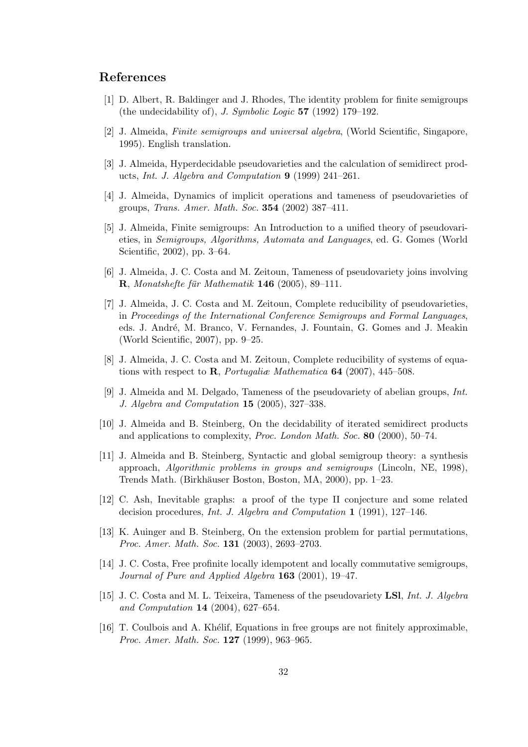# <span id="page-31-0"></span>References

- [1] D. Albert, R. Baldinger and J. Rhodes, The identity problem for finite semigroups (the undecidability of), J. Symbolic Logic 57 (1992) 179–192.
- [2] J. Almeida, Finite semigroups and universal algebra, (World Scientific, Singapore, 1995). English translation.
- [3] J. Almeida, Hyperdecidable pseudovarieties and the calculation of semidirect products, Int. J. Algebra and Computation 9 (1999) 241–261.
- [4] J. Almeida, Dynamics of implicit operations and tameness of pseudovarieties of groups, Trans. Amer. Math. Soc. 354 (2002) 387–411.
- [5] J. Almeida, Finite semigroups: An Introduction to a unified theory of pseudovarieties, in Semigroups, Algorithms, Automata and Languages, ed. G. Gomes (World Scientific, 2002), pp. 3–64.
- [6] J. Almeida, J. C. Costa and M. Zeitoun, Tameness of pseudovariety joins involving  $R$ , Monatshefte für Mathematik 146 (2005), 89–111.
- [7] J. Almeida, J. C. Costa and M. Zeitoun, Complete reducibility of pseudovarieties, in Proceedings of the International Conference Semigroups and Formal Languages, eds. J. André, M. Branco, V. Fernandes, J. Fountain, G. Gomes and J. Meakin (World Scientific, 2007), pp. 9–25.
- [8] J. Almeida, J. C. Costa and M. Zeitoun, Complete reducibility of systems of equations with respect to  $\mathbf{R}$ , *Portugalia* Mathematica **64** (2007), 445–508.
- [9] J. Almeida and M. Delgado, Tameness of the pseudovariety of abelian groups, Int. J. Algebra and Computation 15 (2005), 327–338.
- [10] J. Almeida and B. Steinberg, On the decidability of iterated semidirect products and applications to complexity, Proc. London Math. Soc. 80 (2000), 50–74.
- [11] J. Almeida and B. Steinberg, Syntactic and global semigroup theory: a synthesis approach, Algorithmic problems in groups and semigroups (Lincoln, NE, 1998), Trends Math. (Birkhäuser Boston, Boston, MA, 2000), pp. 1–23.
- [12] C. Ash, Inevitable graphs: a proof of the type II conjecture and some related decision procedures, Int. J. Algebra and Computation 1 (1991), 127–146.
- [13] K. Auinger and B. Steinberg, On the extension problem for partial permutations, Proc. Amer. Math. Soc. 131 (2003), 2693–2703.
- [14] J. C. Costa, Free profinite locally idempotent and locally commutative semigroups, Journal of Pure and Applied Algebra 163 (2001), 19–47.
- [15] J. C. Costa and M. L. Teixeira, Tameness of the pseudovariety LSI, Int. J. Algebra and Computation 14 (2004), 627–654.
- [16] T. Coulbois and A. Khélif, Equations in free groups are not finitely approximable, Proc. Amer. Math. Soc. **127** (1999), 963-965.